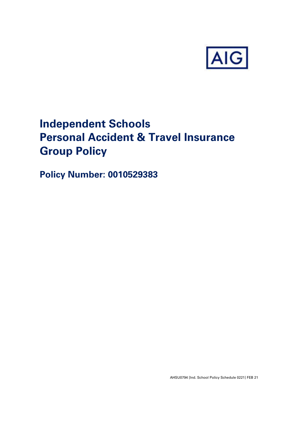

# **Independent Schools Personal Accident & Travel Insurance Group Policy**

**Policy Number: 0010529383**

AHSU0794 [Ind. School Policy Schedule 0221] FEB 21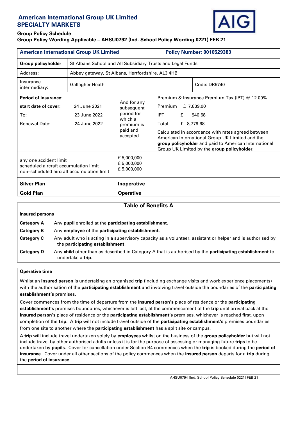# **American International Group UK Limited SPECIALTY MARKETS**



# **Group Policy Schedule**

# **Group Policy Wording Applicable – AHSU0792 (Ind. School Policy Wording 0221) FEB 21**

| <b>American International Group UK Limited</b>                                                               |                                                            |                                                                                                                                  | <b>Policy Number: 0010529383</b> |                                                                                                                                                                                                                                                                                                       |  |
|--------------------------------------------------------------------------------------------------------------|------------------------------------------------------------|----------------------------------------------------------------------------------------------------------------------------------|----------------------------------|-------------------------------------------------------------------------------------------------------------------------------------------------------------------------------------------------------------------------------------------------------------------------------------------------------|--|
| Group policyholder                                                                                           | St Albans School and All Subsidiary Trusts and Legal Funds |                                                                                                                                  |                                  |                                                                                                                                                                                                                                                                                                       |  |
| Address:                                                                                                     | Abbey gateway, St Albans, Hertfordshire, AL3 4HB           |                                                                                                                                  |                                  |                                                                                                                                                                                                                                                                                                       |  |
| Insurance<br>intermediary:                                                                                   | Gallagher Heath                                            |                                                                                                                                  |                                  | Code: DR5740                                                                                                                                                                                                                                                                                          |  |
| <b>Period of insurance:</b><br>start date of cover:<br>To:<br><b>Renewal Date:</b>                           | 24 June 2021<br>23 June 2022<br>24 June 2022               | And for any<br>Premium<br>subsequent<br>period for<br><b>IPT</b><br>£<br>which a<br>Total<br>premium is<br>paid and<br>accepted. |                                  | Premium & Insurance Premium Tax (IPT) @ 12.00%<br>£ 7,839.00<br>940.68<br>£ 8,779.68<br>Calculated in accordance with rates agreed between<br>American International Group UK Limited and the<br>group policyholder and paid to American International<br>Group UK Limited by the group policyholder. |  |
| any one accident limit<br>scheduled aircraft accumulation limit<br>non-scheduled aircraft accumulation limit |                                                            | £ 5,000,000<br>£ 5,000,000<br>£ 5,000,000                                                                                        |                                  |                                                                                                                                                                                                                                                                                                       |  |
| <b>Silver Plan</b>                                                                                           |                                                            | Inoperative                                                                                                                      |                                  |                                                                                                                                                                                                                                                                                                       |  |
| <b>Gold Plan</b>                                                                                             |                                                            | <b>Operative</b>                                                                                                                 |                                  |                                                                                                                                                                                                                                                                                                       |  |

# **Table of Benefits A**

| Insured persons   |                                                                                                                                                |  |  |
|-------------------|------------------------------------------------------------------------------------------------------------------------------------------------|--|--|
| <b>Category A</b> | Any pupil enrolled at the participating establishment.                                                                                         |  |  |
| <b>Category B</b> | Any employee of the participating establishment.                                                                                               |  |  |
| <b>Category C</b> | Any adult who is acting in a supervisory capacity as a volunteer, assistant or helper and is authorised by<br>the participating establishment. |  |  |
| <b>Category D</b> | Any child other than as described in Category A that is authorised by the participating establishment to<br>undertake a trip.                  |  |  |

# **Operative time**

Whilst an **insured person** is undertaking an organised **trip** (including exchange visits and work experience placements) with the authorisation of the **participating establishment** and involving travel outside the boundaries of the **participating establishment's** premises.

Cover commences from the time of departure from the **insured person's** place of residence or the **participating establishment's** premises boundaries, whichever is left last, at the commencement of the **trip** until arrival back at the **insured person's** place of residence or the **participating establishment's** premises, whichever is reached first, upon completion of the **trip**. A **trip** will not include travel outside of the **participating establishment's** premises boundaries from one site to another where the **participating establishment** has a split site or campus.

A **trip** will include travel undertaken solely by **employees** whilst on the business of the **group policyholder** but will not include travel by other authorised adults unless it is for the purpose of assessing or managing future **trips** to be undertaken by **pupils**. Cover for cancellation under Section B4 commences when the **trip** is booked during the **period of insurance**. Cover under all other sections of the policy commences when the **insured person** departs for a **trip** during the **period of insurance**.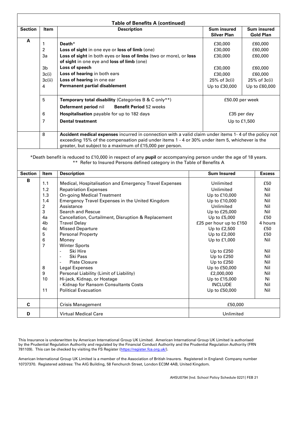| <b>Table of Benefits A (continued)</b> |                                                                                                                                                                                           |                                                                                                                                                                                                                                                                                                                                                                                                                                                                                                                                                                                                                                             |                 |                                                                                                                                                                                                                                                                                                                |                             |                                                                                                                                      |
|----------------------------------------|-------------------------------------------------------------------------------------------------------------------------------------------------------------------------------------------|---------------------------------------------------------------------------------------------------------------------------------------------------------------------------------------------------------------------------------------------------------------------------------------------------------------------------------------------------------------------------------------------------------------------------------------------------------------------------------------------------------------------------------------------------------------------------------------------------------------------------------------------|-----------------|----------------------------------------------------------------------------------------------------------------------------------------------------------------------------------------------------------------------------------------------------------------------------------------------------------------|-----------------------------|--------------------------------------------------------------------------------------------------------------------------------------|
| <b>Section</b>                         | Item                                                                                                                                                                                      | <b>Sum insured</b><br><b>Sum insured</b><br><b>Description</b><br><b>Silver Plan</b>                                                                                                                                                                                                                                                                                                                                                                                                                                                                                                                                                        |                 | <b>Gold Plan</b>                                                                                                                                                                                                                                                                                               |                             |                                                                                                                                      |
| A                                      | 1<br>$\boldsymbol{2}$<br>3a                                                                                                                                                               | Death*<br>Loss of sight in one eye or loss of limb (one)<br>Loss of sight in both eyes or loss of limbs (two or more), or loss<br>of sight in one eye and loss of limb (one)                                                                                                                                                                                                                                                                                                                                                                                                                                                                |                 | £30,000<br>£60,000<br>£30,000<br>£60,000<br>£30,000<br>£60,000                                                                                                                                                                                                                                                 |                             |                                                                                                                                      |
|                                        | 3 <sub>b</sub><br>3c(i)<br>3c(ii)<br>4                                                                                                                                                    | Loss of speech<br>Loss of hearing in both ears<br>Loss of hearing in one ear<br><b>Permanent partial disablement</b>                                                                                                                                                                                                                                                                                                                                                                                                                                                                                                                        |                 | £30,000<br>£60,000<br>£30,000<br>£60,000<br>25% of 3c(i)<br>25% of 3c(i)<br>Up to £30,000<br>Up to £60,000                                                                                                                                                                                                     |                             |                                                                                                                                      |
|                                        | 5                                                                                                                                                                                         | Temporary total disability (Categories B & C only**)<br><b>Benefit Period 52 weeks</b><br>Deferment period nil                                                                                                                                                                                                                                                                                                                                                                                                                                                                                                                              | £50.00 per week |                                                                                                                                                                                                                                                                                                                |                             |                                                                                                                                      |
|                                        | 6<br>7                                                                                                                                                                                    | Hospitalisation payable for up to 182 days<br><b>Dental treatment</b>                                                                                                                                                                                                                                                                                                                                                                                                                                                                                                                                                                       |                 |                                                                                                                                                                                                                                                                                                                | £35 per day<br>Up to £1,500 |                                                                                                                                      |
|                                        | 8                                                                                                                                                                                         | Accident medical expenses incurred in connection with a valid claim under items 1-4 of the policy not<br>exceeding 15% of the compensation paid under items 1 - 4 or 30% under item 5, whichever is the<br>greater, but subject to a maximum of £15,000 per person.                                                                                                                                                                                                                                                                                                                                                                         |                 |                                                                                                                                                                                                                                                                                                                |                             |                                                                                                                                      |
|                                        | *Death benefit is reduced to £10,000 in respect of any pupil or accompanying person under the age of 18 years.<br>** Refer to Insured Persons defined category in the Table of Benefits A |                                                                                                                                                                                                                                                                                                                                                                                                                                                                                                                                                                                                                                             |                 |                                                                                                                                                                                                                                                                                                                |                             |                                                                                                                                      |
| <b>Section</b>                         | Item                                                                                                                                                                                      | <b>Description</b>                                                                                                                                                                                                                                                                                                                                                                                                                                                                                                                                                                                                                          |                 | <b>Sum Insured</b>                                                                                                                                                                                                                                                                                             |                             | <b>Excess</b>                                                                                                                        |
| B                                      | 1.1<br>1.2<br>1.3<br>1.4<br>$\overline{c}$<br>3<br>4a<br>4 <sub>b</sub><br>4c<br>5<br>6<br>$\overline{7}$<br>8<br>9<br>10<br>11                                                           | Medical, Hospitalisation and Emergency Travel Expenses<br><b>Repatriation Expenses</b><br><b>On-going Medical Treatment</b><br><b>Emergency Travel Expenses in the United Kingdom</b><br>Assistance<br><b>Search and Rescue</b><br>Cancellation, Curtailment, Disruption & Replacement<br><b>Travel Delay</b><br><b>Missed Departure</b><br><b>Personal Property</b><br>Money<br><b>Winter Sports</b><br>Ski Hire<br>Ski Pass<br>$\blacksquare$<br><b>Piste Closure</b><br>Legal Expenses<br>Personal Liability (Limit of Liability)<br>Hi-jack, Kidnap, or Hostage<br>- Kidnap for Ransom Consultants Costs<br><b>Political Evacuation</b> |                 | Unlimited<br>Unlimited<br>Up to £10,000<br>Up to £10,000<br>Unlimited<br>Up to £25,000<br>Up to £5,000<br>£25 per hour up to £150<br>Up to £2,500<br>Up to £2,000<br>Up to £1,000<br>Up to £250<br>Up to £250<br>Up to £250<br>Up to £50,000<br>£2,000,000<br>Up to £15,000<br><b>INCLUDE</b><br>Up to £50,000 |                             | £50<br>Nil<br>Nil<br>Nil<br>Nil<br>Nil<br>£50<br>4 hours<br>£50<br>£50<br>Nil<br>Nil<br>Nil<br>Nil<br>Nil<br>Nil<br>Ni<br>Nil<br>Nil |
| C                                      |                                                                                                                                                                                           | <b>Crisis Management</b>                                                                                                                                                                                                                                                                                                                                                                                                                                                                                                                                                                                                                    |                 | £50,000                                                                                                                                                                                                                                                                                                        |                             |                                                                                                                                      |
| D                                      |                                                                                                                                                                                           | <b>Virtual Medical Care</b>                                                                                                                                                                                                                                                                                                                                                                                                                                                                                                                                                                                                                 |                 | Unlimited                                                                                                                                                                                                                                                                                                      |                             |                                                                                                                                      |

This Insurance is underwritten by American International Group UK Limited. American International Group UK Limited is authorised by the Prudential Regulation Authority and regulated by the Financial Conduct Authority and the Prudential Regulation Authority (FRN 781109). This can be checked by visiting the FS Register [\(https://register.fca.org.uk/\)](https://register.fca.org.uk/).

American International Group UK Limited is a member of the Association of British Insurers. Registered in England: Company number 10737370. Registered address: The AIG Building, 58 Fenchurch Street, London EC3M 4AB, United Kingdom.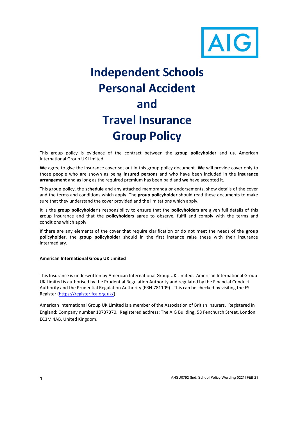

# **Independent Schools Personal Accident and Travel Insurance Group Policy**

This group policy is evidence of the contract between the **group policyholder** and **us**, American International Group UK Limited.

**We** agree to give the insurance cover set out in this group policy document. **We** will provide cover only to those people who are shown as being **insured persons** and who have been included in the **insurance arrangement** and as long as the required premium has been paid and **we** have accepted it.

This group policy, the **schedule** and any attached memoranda or endorsements, show details of the cover and the terms and conditions which apply. The **group policyholder** should read these documents to make sure that they understand the cover provided and the limitations which apply.

It is the **group policyholder's** responsibility to ensure that the **policyholders** are given full details of this group insurance and that the **policyholders** agree to observe, fulfil and comply with the terms and conditions which apply.

If there are any elements of the cover that require clarification or do not meet the needs of the **group policyholder**, the **group policyholder** should in the first instance raise these with their insurance intermediary.

#### **American International Group UK Limited**

This Insurance is underwritten by American International Group UK Limited. American International Group UK Limited is authorised by the Prudential Regulation Authority and regulated by the Financial Conduct Authority and the Prudential Regulation Authority (FRN 781109). This can be checked by visiting the FS Register [\(https://register.fca.org.uk/\)](https://register.fca.org.uk/).

American International Group UK Limited is a member of the Association of British Insurers. Registered in England: Company number 10737370. Registered address: The AIG Building, 58 Fenchurch Street, London EC3M 4AB, United Kingdom.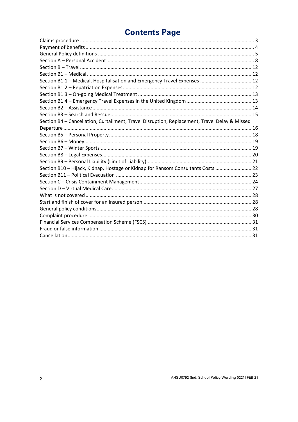# **Contents Page**

| Section B4 - Cancellation, Curtailment, Travel Disruption, Replacement, Travel Delay & Missed |  |
|-----------------------------------------------------------------------------------------------|--|
|                                                                                               |  |
|                                                                                               |  |
|                                                                                               |  |
|                                                                                               |  |
|                                                                                               |  |
|                                                                                               |  |
| Section B10 - Hijack, Kidnap, Hostage or Kidnap for Ransom Consultants Costs  22              |  |
|                                                                                               |  |
|                                                                                               |  |
|                                                                                               |  |
|                                                                                               |  |
|                                                                                               |  |
|                                                                                               |  |
|                                                                                               |  |
|                                                                                               |  |
|                                                                                               |  |
|                                                                                               |  |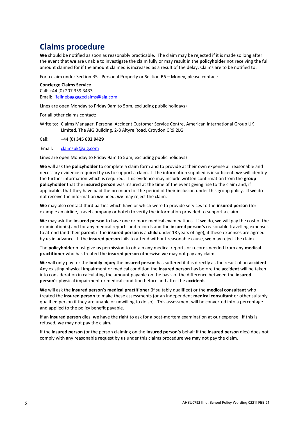# <span id="page-5-0"></span>**Claims procedure**

**We** should be notified as soon as reasonably practicable. The claim may be rejected if it is made so long after the event that **we** are unable to investigate the claim fully or may result in the **policyholder** not receiving the full amount claimed for if the amount claimed is increased as a result of the delay. Claims are to be notified to:

For a claim under Section B5 - Personal Property or Section B6 – Money, please contact:

**Concierge Claims Service** Call: +44 (0) 207 359 3433 Email: [lifelinebaggageclaims@aig.com](mailto:lifelinebaggageclaims@aig.com)

Lines are open Monday to Friday 9am to 5pm, excluding public holidays)

For all other claims contact:

Write to: Claims Manager, Personal Accident Customer Service Centre, American International Group UK Limited, The AIG Building, 2-8 Altyre Road, Croydon CR9 2LG.

Call: +44 (**0**) **345 602 9429**

Email: claimsuk@aig.com

Lines are open Monday to Friday 9am to 5pm, excluding public holidays)

**We** will ask the **policyholder** to complete a claim form and to provide at their own expense all reasonable and necessary evidence required by **us** to support a claim. If the information supplied is insufficient, **we** will identify the further information which is required. This evidence may include written confirmation from the **group policyholder** that the **insured person** was insured at the time of the event giving rise to the claim and, if applicable, that they have paid the premium for the period of their inclusion under this group policy. If **we** do not receive the information **we** need, **we** may reject the claim.

**We** may also contact third parties which have or which were to provide services to the **insured person** (for example an airline, travel company or hotel) to verify the information provided to support a claim.

**We** may ask the **insured person** to have one or more medical examinations. If **we** do, **we** will pay the cost of the examination(s) and for any medical reports and records and the **insured person's** reasonable travelling expenses to attend (and their **parent** if the **insured person** is a **child** under 18 years of age), if these expenses are agreed by **us** in advance. If the **insured person** fails to attend without reasonable cause, **we** may reject the claim.

The **policyholder** must give **us** permission to obtain any medical reports or records needed from any **medical practitioner** who has treated the **insured person** otherwise **we** may not pay any claim.

**We** will only pay for the **bodily injury** the **insured person** has suffered if it is directly as the result of an **accident**. Any existing physical impairment or medical condition the **insured person** has before the **accident** will be taken into consideration in calculating the amount payable on the basis of the difference between the **insured person's** physical impairment or medical condition before and after the **accident**.

**We** will ask the **insured person's medical practitioner** (if suitably qualified) or the **medical consultant** who treated the **insured person** to make these assessments (or an independent **medical consultant** or other suitably qualified person if they are unable or unwilling to do so). This assessment will be converted into a percentage and applied to the policy benefit payable.

If an **insured person** dies, **we** have the right to ask for a post-mortem examination at **our** expense. If this is refused, **we** may not pay the claim**.**

If the **insured person** (or the person claiming on the **insured person's** behalf if the **insured person** dies) does not comply with any reasonable request by **us** under this claims procedure **we** may not pay the claim.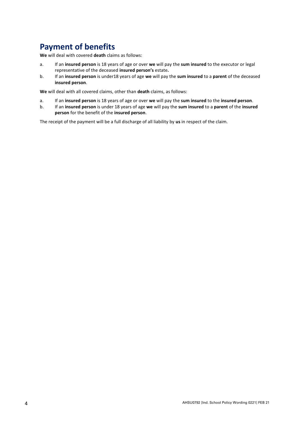# <span id="page-6-0"></span>**Payment of benefits**

**We** will deal with covered **death** claims as follows:

- a. If an **insured person** is 18 years of age or over **we** will pay the **sum insured** to the executor or legal representative of the deceased **insured person's** estate**.**
- b. If an **insured person** is under18 years of age **we** will pay the **sum insured** to a **parent** of the deceased **insured person**.

**We** will deal with all covered claims, other than **death** claims, as follows:

- a. If an **insured person** is 18 years of age or over **we** will pay the **sum insured** to the **insured person**.
- b. If an **insured person** is under 18 years of age **we** will pay the **sum insured** to a **parent** of the **insured person** for the benefit of the **insured person**.

The receipt of the payment will be a full discharge of all liability by **us** in respect of the claim.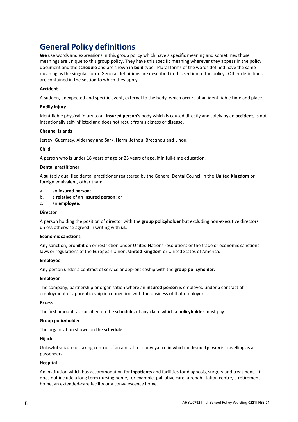# <span id="page-7-0"></span>**General Policy definitions**

**We** use words and expressions in this group policy which have a specific meaning and sometimes those meanings are unique to this group policy. They have this specific meaning wherever they appear in the policy document and the **schedule** and are shown in **bold** type. Plural forms of the words defined have the same meaning as the singular form. General definitions are described in this section of the policy. Other definitions are contained in the section to which they apply.

# **Accident**

A sudden, unexpected and specific event, external to the body, which occurs at an identifiable time and place.

# **Bodily injury**

Identifiable physical injury to an **insured person's** body which is caused directly and solely by an **accident**, is not intentionally self-inflicted and does not result from sickness or disease.

# **Channel Islands**

Jersey, Guernsey, Alderney and Sark, Herm, Jethou, Brecqhou and Lihou.

# **Child**

A person who is under 18 years of age or 23 years of age, if in full-time education.

# **Dental practitioner**

A suitably qualified dental practitioner registered by the General Dental Council in the **United Kingdom** or foreign equivalent, other than:

- a. an **insured person**;
- b. a **relative** of an **insured person**; or
- c. an **employee**.

#### **Director**

A person holding the position of director with the **group policyholder** but excluding non-executive directors unless otherwise agreed in writing with **us**.

#### **Economic sanctions**

Any sanction, prohibition or restriction under United Nations resolutions or the trade or economic sanctions, laws or regulations of the European Union, **United Kingdom** or United States of America.

#### **Employee**

Any person under a contract of service or apprenticeship with the **group policyholder**.

#### **Employer**

The company, partnership or organisation where an **insured person** is employed under a contract of employment or apprenticeship in connection with the business of that employer.

#### **Excess**

The first amount, as specified on the **schedule,** of any claim which a **policyholder** must pay.

#### **Group policyholder**

The organisation shown on the **schedule**.

# **Hijack**

Unlawful seizure or taking control of an aircraft or conveyance in which an **insured person** is travelling as a passenger**.**

# **Hospital**

An institution which has accommodation for **inpatients** and facilities for diagnosis, surgery and treatment. It does not include a long term nursing home, for example, palliative care, a rehabilitation centre, a retirement home, an extended-care facility or a convalescence home.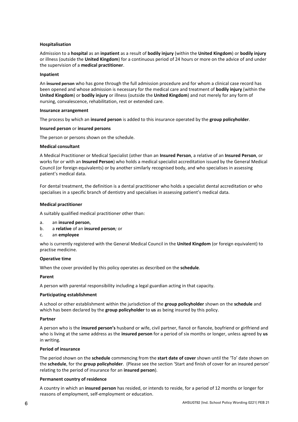# **Hospitalisation**

Admission to a **hospital** as an **inpatient** as a result of **bodily injury** (within the **United Kingdom**) or **bodily injury** or illness (outside the **United Kingdom**) for a continuous period of 24 hours or more on the advice of and under the supervision of a **medical practitioner**.

#### **Inpatient**

An **insured person** who has gone through the full admission procedure and for whom a clinical case record has been opened and whose admission is necessary for the medical care and treatment of **bodily injury** (within the **United Kingdom**) or **bodily injury** or illness (outside the **United Kingdom**) and not merely for any form of nursing, convalescence, rehabilitation, rest or extended care.

#### **Insurance arrangement**

The process by which an **insured person** is added to this insurance operated by the **group policyholder**.

#### **Insured person** or **insured persons**

The person or persons shown on the schedule.

# **Medical consultant**

A Medical Practitioner or Medical Specialist (other than an **Insured Person**, a relative of an **Insured Person**, or works for or with an **Insured Person**) who holds a medical specialist accreditation issued by the General Medical Council (or foreign equivalents) or by another similarly recognised body, and who specialises in assessing patient's medical data.

For dental treatment, the definition is a dental practitioner who holds a specialist dental accreditation or who specialises in a specific branch of dentistry and specialises in assessing patient's medical data.

# **Medical practitioner**

A suitably qualified medical practitioner other than:

- a. an **insured person**,
- b. a **relative** of an **insured person***;* or
- c. an **employee**

who is currently registered with the General Medical Council in the **United Kingdom** (or foreign equivalent) to practise medicine.

#### **Operative time**

When the cover provided by this policy operates as described on the **schedule**.

#### **Parent**

A person with parental responsibility including a legal guardian acting in that capacity.

#### **Participating establishment**

A school or other establishment within the jurisdiction of the **group policyholder** shown on the **schedule** and which has been declared by the **group policyholder** to **us** as being insured by this policy.

#### **Partner**

A person who is the **insured person's** husband or wife, civil partner, fiancé or fiancée, boyfriend or girlfriend and who is living at the same address as the **insured person** for a period of six months or longer, unless agreed by **us** in writing.

# **Period of insurance**

The period shown on the **schedule** commencing from the **start date of cover** shown until the 'To' date shown on the **schedule**, for the **group policyholder**.(Please see the section 'Start and finish of cover for an insured person' relating to the period of insurance for an **insured person**).

#### **Permanent country of residence**

A country in which an **insured person** has resided, or intends to reside, for a period of 12 months or longer for reasons of employment, self-employment or education.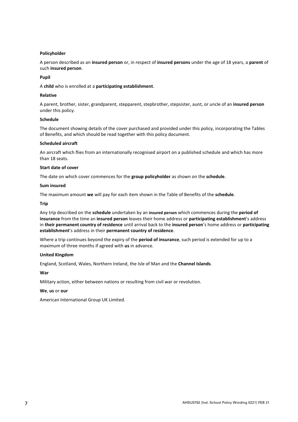# **Policyholder**

A person described as an **insured person** or, in respect of **insured persons** under the age of 18 years, a **parent** of such **insured person**.

# **Pupil**

A **child** who is enrolled at a **participating establishment**.

# **Relative**

A parent, brother, sister, grandparent, stepparent, stepbrother, stepsister, aunt, or uncle of an **insured person** under this policy.

#### **Schedule**

The document showing details of the cover purchased and provided under this policy, incorporating the Tables of Benefits, and which should be read together with this policy document.

#### **Scheduled aircraft**

An aircraft which flies from an internationally recognised airport on a published schedule and which has more than 18 seats.

#### **Start date of cover**

The date on which cover commences for the **group policyholder** as shown on the **schedule**.

#### **Sum insured**

The maximum amount **we** will pay for each item shown in the Table of Benefits of the **schedule**.

# **Trip**

Any trip described on the **schedule** undertaken by an **insured person** which commences during the **period of insurance** from the time an **insured person** leaves their home address or **participating establishment**'s address in **their permanent country of residence** until arrival back to the **insured person**'s home address or **participating establishment**'s address in their **permanent country of residence**.

Where a trip continues beyond the expiry of the **period of insurance**, such period is extended for up to a maximum of three months if agreed with **us** in advance.

# **United Kingdom**

England, Scotland, Wales, Northern Ireland, the Isle of Man and the **Channel Islands**.

#### **War**

Military action, either between nations or resulting from civil war or revolution.

#### **We**, **us** or **our**

American International Group UK Limited.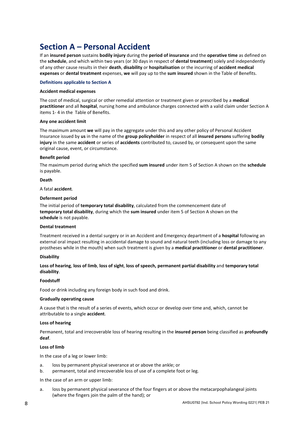# <span id="page-10-0"></span>**Section A – Personal Accident**

If an **insured person** sustains **bodily injury** during the **period of insurance** and the **operative time** as defined on the **schedule**, and which within two years (or 30 days in respect of **dental treatment**) solely and independently of any other cause results in their **death**, **disability** or **hospitalisation** or the incurring of **accident medical expenses** or **dental treatment** expenses, **we** will pay up to the **sum insured** shown in the Table of Benefits.

# **Definitions applicable to Section A**

#### **Accident medical expenses**

The cost of medical, surgical or other remedial attention or treatment given or prescribed by a **medical practitioner** and all **hospital**, nursing home and ambulance charges connected with a valid claim under Section A items 1- 4 in the Table of Benefits.

# **Any one accident limit**

The maximum amount **we** will pay in the aggregate under this and any other policy of Personal Accident Insurance issued by **us** in the name of the **group policyholder** in respect of all **insured persons** suffering **bodily injury** in the same **accident** or series of **accidents** contributed to, caused by, or consequent upon the same original cause, event, or circumstance.

# **Benefit period**

The maximum period during which the specified **sum insured** under item 5 of Section A shown on the **schedule** is payable.

# **Death**

A fatal **accident**.

# **Deferment period**

The initial period of **temporary total disability**, calculated from the commencement date of **temporary total disability**, during which the **sum insured** under item 5 of Section A shown on the **schedule** is not payable.

# **Dental treatment**

Treatment received in a dental surgery or in an Accident and Emergency department of a **hospital** following an external oral impact resulting in accidental damage to sound and natural teeth (including loss or damage to any prostheses while in the mouth) when such treatment is given by a **medical practitioner** or **dental practitioner**.

#### **Disability**

**Loss of hearing**, **loss of limb**, **loss of sight**, **loss of speech, permanent partial disability** and **temporary total disability**.

# **Foodstuff**

Food or drink including any foreign body in such food and drink.

#### **Gradually operating cause**

A cause that is the result of a series of events, which occur or develop over time and, which, cannot be attributable to a single **accident**.

# **Loss of hearing**

Permanent, total and irrecoverable loss of hearing resulting in the **insured person** being classified as **profoundly deaf**.

#### **Loss of limb**

In the case of a leg or lower limb:

- a. loss by permanent physical severance at or above the ankle; or
- b. permanent, total and irrecoverable loss of use of a complete foot or leg.

In the case of an arm or upper limb:

a. loss by permanent physical severance of the four fingers at or above the metacarpophalangeal joints (where the fingers join the palm of the hand); or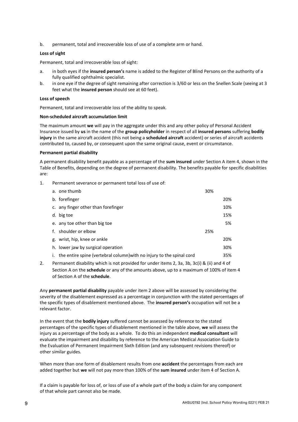b. permanent, total and irrecoverable loss of use of a complete arm or hand.

# **Loss of sight**

Permanent, total and irrecoverable loss of sight:

- a. in both eyes if the **insured person's** name is added to the Register of Blind Persons on the authority of a fully qualified ophthalmic specialist.
- b. in one eye if the degree of sight remaining after correction is 3/60 or less on the Snellen Scale (seeing at 3 feet what the **insured person** should see at 60 feet).

# **Loss of speech**

Permanent, total and irrecoverable loss of the ability to speak.

# **Non-scheduled aircraft accumulation limit**

The maximum amount **we** will pay in the aggregate under this and any other policy of Personal Accident Insurance issued by **us** in the name of the **group policyholder** in respect of all **insured persons** suffering **bodily injury** in the same aircraft accident (this not being a **scheduled aircraft** accident) or series of aircraft accidents contributed to, caused by, or consequent upon the same original cause, event or circumstance.

# **Permanent partial disability**

A permanent disability benefit payable as a percentage of the **sum insured** under Section A item 4, shown in the Table of Benefits, depending on the degree of permanent disability. The benefits payable for specific disabilities are:

1. Permanent severance or permanent total loss of use of:

| a. one thumb                                                             | 30% |     |
|--------------------------------------------------------------------------|-----|-----|
| b. forefinger                                                            |     | 20% |
| c. any finger other than forefinger                                      |     | 10% |
| d. big toe                                                               |     | 15% |
| e. any toe other than big toe                                            |     | 5%  |
| f. shoulder or elbow                                                     | 25% |     |
| g. wrist, hip, knee or ankle                                             |     | 20% |
| h. lower jaw by surgical operation                                       |     | 30% |
| i. the entire spine (vertebral column) with no injury to the spinal cord |     | 35% |

2. Permanent disability which is not provided for under items 2, 3a, 3b, 3c(i) & (ii) and 4 of Section A on the **schedule** or any of the amounts above, up to a maximum of 100% of item 4 of Section A of the **schedule**.

Any **permanent partial disability** payable under item 2 above will be assessed by considering the severity of the disablement expressed as a percentage in conjunction with the stated percentages of the specific types of disablement mentioned above. The **insured person's** occupation will not be a relevant factor.

In the event that the **bodily injury** suffered cannot be assessed by reference to the stated percentages of the specific types of disablement mentioned in the table above, **we** will assess the injury as a percentage of the body as a whole. To do this an independent **medical consultant** will evaluate the impairment and disability by reference to the American Medical Association Guide to the Evaluation of Permanent Impairment Sixth Edition (and any subsequent revisions thereof) or other similar guides.

When more than one form of disablement results from one **accident** the percentages from each are added together but **we** will not pay more than 100% of the **sum insured** under item 4 of Section A.

If a claim is payable for loss of, or loss of use of a whole part of the body a claim for any component of that whole part cannot also be made.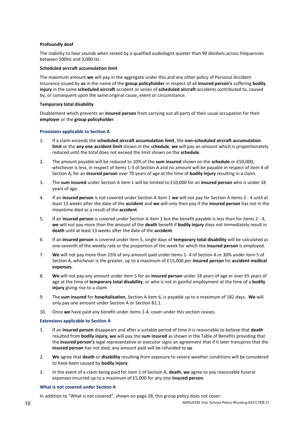# **Profoundly deaf**

The inability to hear sounds when tested by a qualified audiologist quieter than 90 decibels across frequencies between 500Hz and 3,000 Hz.

#### **Scheduled aircraft accumulation limit**

The maximum amount **we** will pay in the aggregate under this and any other policy of Personal Accident Insurance issued by **us** in the name of the **group policyholder** in respect of all **insured person's** suffering **bodily injury** in the same **scheduled aircraft** accident or series of **scheduled aircraft** accidents contributed to, caused by, or consequent upon the same original cause, event or circumstance.

# **Temporary total disability**

Disablement which prevents an **insured person** from carrying out all parts of their usual occupation for their **employer** or the **group policyholder**.

# **Provisions applicable to Section A**

- 1. If a claim exceeds the **scheduled aircraft accumulation limit**, the **non-scheduled aircraft accumulation limit** or the **any one accident limit** shown in the s**chedule**, **we** will pay an amount which is proportionately reduced until the total does not exceed the limit shown on the **schedule**.
- 2. The amount payable will be reduced to 10% of the **sum insured** shown on the **schedule** or £50,000, whichever is less, in respect of items 1-3 of Section A and no amount will be payable in respect of item 4 of Section A, for an **insured person** over 70 years of age at the time of **bodily injury** resulting in a claim.
- 3. The **sum insured** under Section A item 1 will be limited to £10,000 for an **insured person** who is under 18 years of age.
- 4. If an **insured person** is not covered under Section A item 1 **we** will not pay for Section A items 2 4 until at least 13 weeks after the date of the **accident** and **we** will only then pay if the **insured person** has not in the meantime died as a result of the **accident**.
- 5. If an **insured person** is covered under Section A item 1 but the benefit payable is less than for items 2 4, **we** will not pay more than the amount of the **death** benefit if **bodily injury** does not immediately result in **death** until at least 13 weeks after the date of the **accident**.
- 6. If an **insured person** is covered under item 5, single days of **temporary total disability** will be calculated as one-seventh of the weekly rate or the proportion of the week for which the **insured person** is employed.
- 7. **We** will not pay more than 15% of any amount paid under items 1- 4 of Section A or 30% under item 5 of Section A, whichever is the greater, up to a maximum of £15,000 per **insured person** for **accident medical expenses**.
- 8. **We** will not pay any amount under item 5 for an **insured person** under 18 years of age or over 65 years of age at the time of **temporary total disability**; or who is not in gainful employment at the time of a **bodily injury** giving rise to a claim.
- 9. The **sum insured** for **hospitalisation**, Section A item 6, is payable up to a maximum of 182 days. **We** will only pay one amount under Section A or Section B1.1.
- 10. Once **we** have paid any benefit under items 1-4, cover under this section ceases.

#### **Extensions applicable to Section A**

- 1. If an **insured person** disappears and after a suitable period of time it is reasonable to believe that **death**  resulted from **bodily injury, we** will pay the **sum insured** as shown in the Table of Benefits providing that the **insured person's** legal representative or executor signs an agreement that if it later transpires that the **insured person** has not died, any amount paid will be refunded to **us**.
- 2. **We** agree that **death** or **disability** resulting from exposure to severe weather conditions will be considered to have been caused by **bodily injury***.*
- 3. In the event of a claim being paid for item 1 of Section A, **death***,* **we** agree to pay reasonable funeral expenses incurred up to a maximum of £5,000 for any one **insured person***.*

# **What is not covered under Section A**

In addition to "What is not covered", shown on page 28, this group policy does not cover: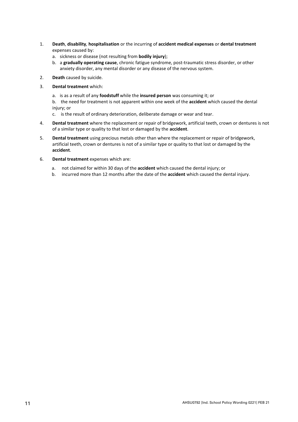- 1. **Death**, **disability***,* **hospitalisation** or the incurring of **accident medical expenses** or **dental treatment** expenses caused by:
	- a. sickness or disease (not resulting from **bodily injury**);
	- b. a **gradually operating cause**, chronic fatigue syndrome, post-traumatic stress disorder, or other anxiety disorder, any mental disorder or any disease of the nervous system.
- 2. **Death** caused by suicide.
- 3. **Dental treatment** which:
	- a. is as a result of any **foodstuff** while the **insured person** was consuming it; or

b. the need for treatment is not apparent within one week of the **accident** which caused the dental injury; or

- c. is the result of ordinary deterioration, deliberate damage or wear and tear.
- 4. **Dental treatment** where the replacement or repair of bridgework, artificial teeth, crown or dentures is not of a similar type or quality to that lost or damaged by the **accident**.
- 5. **Dental treatment** using precious metals other than where the replacement or repair of bridgework, artificial teeth, crown or dentures is not of a similar type or quality to that lost or damaged by the **accident**.
- 6. **Dental treatment** expenses which are:
	- a. not claimed for within 30 days of the **accident** which caused the dental injury; or
	- b. incurred more than 12 months after the date of the **accident** which caused the dental injury.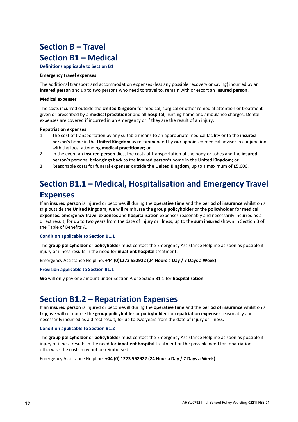# <span id="page-14-1"></span><span id="page-14-0"></span>**Section B – Travel Section B1 – Medical**

# **Definitions applicable to Section B1**

# **Emergency travel expenses**

The additional transport and accommodation expenses (less any possible recovery or saving) incurred by an **insured person** and up to two persons who need to travel to, remain with or escort an **insured person**.

#### **Medical expenses**

The costs incurred outside the **United Kingdom** for medical, surgical or other remedial attention or treatment given or prescribed by a **medical practitioner** and all **hospital**, nursing home and ambulance charges. Dental expenses are covered if incurred in an emergency or if they are the result of an injury.

# **Repatriation expenses**

- 1. The cost of transportation by any suitable means to an appropriate medical facility or to the **insured person's** home in the **United Kingdom** as recommended by **our** appointed medical advisor in conjunction with the local attending **medical practitioner**; or
- 2. In the event an **insured person** dies, the costs of transportation of the body or ashes and the **insured person's** personal belongings back to the **insured person's** home in the **United Kingdom**; or
- 3. Reasonable costs for funeral expenses outside the **United Kingdom**, up to a maximum of £5,000.

# <span id="page-14-2"></span>**Section B1.1 – Medical, Hospitalisation and Emergency Travel Expenses**

If an **insured person** is injured or becomes ill during the **operative time** and the **period of insurance** whilst on a **trip** outside the **United Kingdom**, **we** will reimburse the **group policyholder** or the **policyholder** for **medical expenses***,* **emergency travel expenses** and **hospitalisation** expenses reasonably and necessarily incurred as a direct result, for up to two years from the date of injury or illness, up to the **sum insured** shown in Section B of the Table of Benefits A.

# **Condition applicable to Section B1.1**

The **group policyholder** or **policyholder** must contact the Emergency Assistance Helpline as soon as possible if injury or illness results in the need for **inpatient hospital** treatment.

Emergency Assistance Helpline: **+44 (0)1273 552922 (24 Hours a Day / 7 Days a Week)**

# **Provision applicable to Section B1.1**

**We** will only pay one amount under Section A or Section B1.1 for **hospitalisation**.

# <span id="page-14-3"></span>**Section B1.2 – Repatriation Expenses**

If an **insured person** is injured or becomes ill during the **operative time** and the **period of insurance** whilst on a **trip**, **we** will reimburse the **group policyholder** or **policyholder** for **repatriation expenses** reasonably and necessarily incurred as a direct result, for up to two years from the date of injury or illness.

# **Condition applicable to Section B1.2**

The **group policyholder** or **policyholder** must contact the Emergency Assistance Helpline as soon as possible if injury or illness results in the need for **inpatient hospital** treatment or the possible need for repatriation otherwise the costs may not be reimbursed.

Emergency Assistance Helpline: **+44 (0) 1273 552922 (24 Hour a Day / 7 Days a Week)**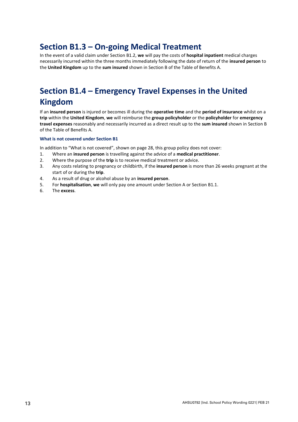# <span id="page-15-0"></span>**Section B1.3 – On-going Medical Treatment**

In the event of a valid claim under Section B1.2, **we** will pay the costs of **hospital inpatient** medical charges necessarily incurred within the three months immediately following the date of return of the **insured person** to the **United Kingdom** up to the **sum insured** shown in Section B of the Table of Benefits A.

# <span id="page-15-1"></span>**Section B1.4 – Emergency Travel Expenses in the United Kingdom**

If an **insured person** is injured or becomes ill during the **operative time** and the **period of insurance** whilst on a **trip** within the **United Kingdom**, **we** will reimburse the **group policyholder** or the **policyholder** for **emergency travel expenses** reasonably and necessarily incurred as a direct result up to the **sum insured** shown in Section B of the Table of Benefits A.

# **What is not covered under Section B1**

In addition to "What is not covered", shown on page 28, this group policy does not cover:

- 1. Where an **insured person** is travelling against the advice of a **medical practitioner**.
- 2. Where the purpose of the **trip** is to receive medical treatment or advice.
- 3. Any costs relating to pregnancy or childbirth, if the **insured person** is more than 26 weeks pregnant at the start of or during the **trip**.
- 4. As a result of drug or alcohol abuse by an **insured person**.
- 5. For **hospitalisation**, **we** will only pay one amount under Section A or Section B1.1.
- 6. The **excess**.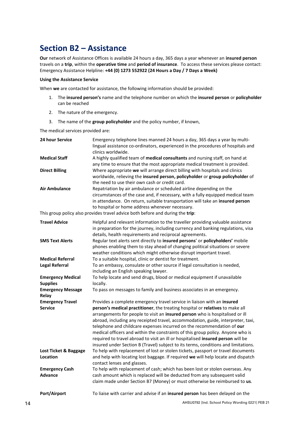# <span id="page-16-0"></span>**Section B2 – Assistance**

**Our** network of Assistance Offices is available 24 hours a day, 365 days a year whenever an **insured person** travels on a **trip**, within the **operative time** and **period of insurance**. To access these services please contact: Emergency Assistance Helpline: **+44 (0) 1273 552922 (24 Hours a Day / 7 Days a Week)**

# **Using the Assistance Service**

When **we** are contacted for assistance, the following information should be provided:

- 1. The **insured person's** name and the telephone number on which the **insured person** or **policyholder**  can be reached
- 2. The nature of the emergency.
- 3. The name of the **group policyholder** and the policy number, if known,

The medical services provided are:

|    | 24 hour Service                   | Emergency telephone lines manned 24 hours a day, 365 days a year by multi-<br>lingual assistance co-ordinators, experienced in the procedures of hospitals and                                                                                                                                                                                                                                                                                                                                                                                                                            |
|----|-----------------------------------|-------------------------------------------------------------------------------------------------------------------------------------------------------------------------------------------------------------------------------------------------------------------------------------------------------------------------------------------------------------------------------------------------------------------------------------------------------------------------------------------------------------------------------------------------------------------------------------------|
|    | <b>Medical Staff</b>              | clinics worldwide.<br>A highly qualified team of medical consultants and nursing staff, on hand at<br>any time to ensure that the most appropriate medical treatment is provided.                                                                                                                                                                                                                                                                                                                                                                                                         |
|    | <b>Direct Billing</b>             | Where appropriate we will arrange direct billing with hospitals and clinics<br>worldwide, relieving the insured person, policyholder or group policyholder of                                                                                                                                                                                                                                                                                                                                                                                                                             |
|    | <b>Air Ambulance</b>              | the need to use their own cash or credit card.<br>Repatriation by air ambulance or scheduled airline depending on the<br>circumstances of the case and, if necessary, with a fully equipped medical team<br>in attendance. On return, suitable transportation will take an insured person<br>to hospital or home address whenever necessary.                                                                                                                                                                                                                                              |
|    |                                   | This group policy also provides travel advice both before and during the trip:                                                                                                                                                                                                                                                                                                                                                                                                                                                                                                            |
|    | <b>Travel Advice</b>              | Helpful and relevant information to the traveller providing valuable assistance<br>in preparation for the journey, including currency and banking regulations, visa<br>details, health requirements and reciprocal agreements.                                                                                                                                                                                                                                                                                                                                                            |
|    | <b>SMS Text Alerts</b>            | Regular text alerts sent directly to insured persons' or policyholders' mobile<br>phones enabling them to stay ahead of changing political situations or severe<br>weather conditions which might otherwise disrupt important travel.                                                                                                                                                                                                                                                                                                                                                     |
|    | <b>Medical Referral</b>           | To a suitable hospital, clinic or dentist for treatment.                                                                                                                                                                                                                                                                                                                                                                                                                                                                                                                                  |
|    | <b>Legal Referral</b>             | To an embassy, consulate or other source if legal consultation is needed,<br>including an English speaking lawyer.                                                                                                                                                                                                                                                                                                                                                                                                                                                                        |
|    | <b>Emergency Medical</b>          | To help locate and send drugs, blood or medical equipment if unavailable                                                                                                                                                                                                                                                                                                                                                                                                                                                                                                                  |
|    | <b>Supplies</b>                   | locally.                                                                                                                                                                                                                                                                                                                                                                                                                                                                                                                                                                                  |
|    | <b>Emergency Message</b><br>Relay | To pass on messages to family and business associates in an emergency.                                                                                                                                                                                                                                                                                                                                                                                                                                                                                                                    |
|    | <b>Emergency Travel</b>           | Provides a complete emergency travel service in liaison with an insured                                                                                                                                                                                                                                                                                                                                                                                                                                                                                                                   |
|    | <b>Service</b>                    | person's medical practitioner, the treating hospital or relatives to make all<br>arrangements for people to visit an insured person who is hospitalised or ill<br>abroad, including any receipted travel, accommodation, guide, interpreter, taxi,<br>telephone and childcare expenses incurred on the recommendation of our<br>medical officers and within the constraints of this group policy. Anyone who is<br>required to travel abroad to visit an ill or hospitalised insured person will be<br>insured under Section B (Travel) subject to its terms, conditions and limitations. |
|    | Lost Ticket & Baggage<br>Location | To help with replacement of lost or stolen tickets, passport or travel documents<br>and help with locating lost baggage. If required we will help locate and dispatch<br>contact lenses and glasses.                                                                                                                                                                                                                                                                                                                                                                                      |
|    | <b>Emergency Cash</b>             | To help with replacement of cash; which has been lost or stolen overseas. Any                                                                                                                                                                                                                                                                                                                                                                                                                                                                                                             |
|    | <b>Advance</b>                    | cash amount which is replaced will be deducted from any subsequent valid<br>claim made under Section B7 (Money) or must otherwise be reimbursed to us.                                                                                                                                                                                                                                                                                                                                                                                                                                    |
|    | Port/Airport                      | To liaise with carrier and advise if an insured person has been delayed on the                                                                                                                                                                                                                                                                                                                                                                                                                                                                                                            |
| 14 |                                   | AHSU0792 [Ind. School Policy Wording 0221] FEB 21                                                                                                                                                                                                                                                                                                                                                                                                                                                                                                                                         |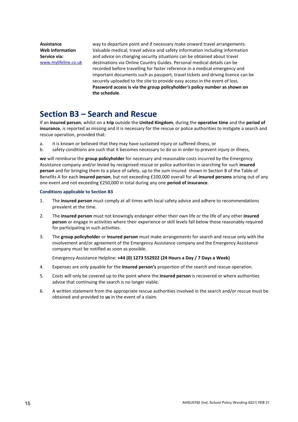**Web Information Service via:** [www.mylifeline.co.uk](file://///ukmp3r3cusrmch1/alldata/A%20&%20H/Specialty%20Markets/Helen)

**Assistance** way to departure point and if necessary make onward travel arrangements. Valuable medical, travel advice and safety information including information and advice on changing security situations can be obtained about travel destinations via Online Country Guides. Personal medical details can be recorded before travelling for faster reference in a medical emergency and important documents such as passport, travel tickets and driving licence can be securely uploaded to the site to provide easy access in the event of loss. **Password access is via the group policyholder***'s* **policy number as shown on the schedule**.

# <span id="page-17-0"></span>**Section B3 – Search and Rescue**

If an **insured person**, whilst on a **trip** outside the **United Kingdom**, during the **operative time** and the **period of insurance**, is reported as missing and it is necessary for the rescue or police authorities to instigate a search and rescue operation, provided that:

- a. it is known or believed that they may have sustained injury or suffered illness, or
- b. safety conditions are such that it becomes necessary to do so in order to prevent injury or illness,

**we** will reimburse the **group policyholder** for necessary and reasonable costs incurred by the Emergency Assistance company and/or levied by recognised rescue or police authorities in searching for such **insured person** and for bringing them to a place of safety, up to the sum insured shown in Section B of the Table of Benefits A for each **insured person**, but not exceeding £100,000 overall for all **insured persons** arising out of any one event and not exceeding £250,000 in total during any one **period of insurance**.

# **Conditions applicable to Section B3**

- 1. The **insured person** must comply at all times with local safety advice and adhere to recommendations prevalent at the time.
- 2. The **insured person** must not knowingly endanger either their own life or the life of any other **insured person** or engage in activities where their experience or skill levels fall below those reasonably required for participating in such activities.
- 3. The **group policyholder** or **insured person** must make arrangements for search and rescue only with the involvement and/or agreement of the Emergency Assistance company and the Emergency Assistance company must be notified as soon as possible.

Emergency Assistance Helpline: **+44 (0) 1273 552922 (24 Hours a Day / 7 Days a Week)**

- 4. Expenses are only payable for the **insured person's** proportion of the search and rescue operation.
- 5. Costs will only be covered up to the point where the **insured person** is recovered or where authorities advise that continuing the search is no longer viable.
- 6. A written statement from the appropriate rescue authorities involved in the search and/or rescue must be obtained and provided to **us** in the event of a claim.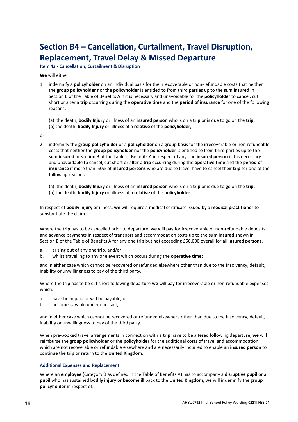# <span id="page-18-0"></span>**Section B4 – Cancellation, Curtailment, Travel Disruption, Replacement, Travel Delay & Missed Departure**

**Item 4a - Cancellation, Curtailment & Disruption**

**We** will either:

1. indemnify a **policyholder** on an individual basis for the irrecoverable or non-refundable costs that neither the **group policyholder** nor the **policyholder** is entitled to from third parties up to the **sum insured** in Section B of the Table of Benefits A if it is necessary and unavoidable for the **policyholder** to cancel, cut short or alter a **trip** occurring during the **operative time** and the **period of insurance** for one of the following reasons:

(a) the death, **bodily Injury** or illness of an **insured person** who is on a **trip** or is due to go on the **trip;**  (b) the death, **bodily Injury** or illness of a **relative** of the **policyholder**,

or

- 2. indemnify the **group policyholder** or a **policyholder** on a group basis for the irrecoverable or non-refundable costs that neither the **group policyholder** nor the **policyholder** is entitled to from third parties up to the **sum insured** in Section B of the Table of Benefits A in respect of any one **insured person** if it is necessary and unavoidable to cancel, cut short or alter a **trip** occurring during the **operative time** and the **period of insurance** if more than 50% of **insured persons** who are due to travel have to cancel their **trip** for one of the following reasons:
	- (a) the death, **bodily Injury** or illness of an **insured person** who is on a **trip** or is due to go on the **trip;**
	- (b) the death, **bodily Injury** or illness of a **relative** of the **policyholder**.

In respect of **bodily injury** or illness, **we** will require a medical certificate issued by a **medical practitioner** to substantiate the claim.

Where the **trip** has to be cancelled prior to departure, **we** will pay for irrecoverable or non-refundable deposits and advance payments in respect of transport and accommodation costs up to the **sum insured** shown in Section B of the Table of Benefits A for any one **trip** but not exceeding £50,000 overall for all **insured persons**,

- a. arising out of any one **trip**, and/or
- b. whilst travelling to any one event which occurs during the **operative time;**

and in either case which cannot be recovered or refunded elsewhere other than due to the insolvency, default, inability or unwillingness to pay of the third party.

Where the **trip** has to be cut short following departure **we** will pay for irrecoverable or non-refundable expenses which:

- a. have been paid or will be payable, or
- b. become payable under contract;

and in either case which cannot be recovered or refunded elsewhere other than due to the insolvency, default, inability or unwillingness to pay of the third party.

When pre-booked travel arrangements in connection with a **trip** have to be altered following departure, **we** will reimburse the **group policyholder** or the **policyholder** for the additional costs of travel and accommodation which are not recoverable or refundable elsewhere and are necessarily incurred to enable an **insured person** to continue the **trip** or return to the **United Kingdom**.

# **Additional Expenses and Replacement**

Where an **employee** (Category B as defined in the Table of Benefits A) has to accompany a **disruptive pupil** or a **pupil** who has sustained **bodily injury** or **become ill** back to the **United Kingdom, we** will indemnify the **group policyholder** in respect of: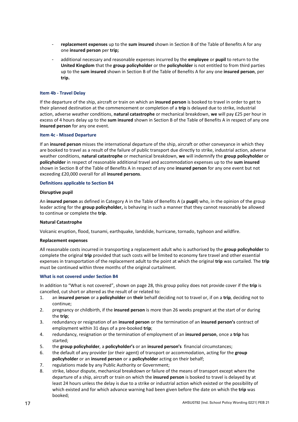- **replacement expenses** up to the **sum insured** shown in Section B of the Table of Benefits A for any one **insured person** per **trip;**
- additional necessary and reasonable expenses incurred by the **employee** or **pupil** to return to the **United Kingdom** that the **group policyholder** or the **policyholder** is not entitled to from third parties up to the **sum insured** shown in Section B of the Table of Benefits A for any one **insured person**, per **trip.**

#### **Item 4b - Travel Delay**

If the departure of the ship, aircraft or train on which an **insured person** is booked to travel in order to get to their planned destination at the commencement or completion of a **trip** is delayed due to strike, industrial action, adverse weather conditions, **natural catastrophe** or mechanical breakdown, **we** will pay £25 per hour in excess of 4 hours delay up to the **sum insured** shown in Section B of the Table of Benefits A in respect of any one **insured person** for any one event.

# **Item 4c - Missed Departure**

If an **insured person** misses the international departure of the ship, aircraft or other conveyance in which they are booked to travel as a result of the failure of public transport due directly to strike, industrial action, adverse weather conditions, **natural catastrophe** or mechanical breakdown, **we** will indemnify the **group policyholder** or **policyholder** in respect of reasonable additional travel and accommodation expenses up to the **sum insured** shown in Section B of the Table of Benefits A in respect of any one **insured person** for any one event but not exceeding £20,000 overall for all **insured persons**.

# **Definitions applicable to Section B4**

# **Disruptive pupil**

An **insured person** as defined in Category A in the Table of Benefits A (a **pupil**) who, in the opinion of the group leader acting for the **group policyholder,** is behaving in such a manner that they cannot reasonably be allowed to continue or complete the **trip**.

# **Natural Catastrophe**

Volcanic eruption, flood, tsunami, earthquake, landslide, hurricane, tornado, typhoon and wildfire.

#### **Replacement expenses**

All reasonable costs incurred in transporting a replacement adult who is authorised by the **group policyholder** to complete the original **trip** provided that such costs will be limited to economy fare travel and other essential expenses in transportation of the replacement adult to the point at which the original **trip** was curtailed. The **trip**  must be continued within three months of the original curtailment.

# **What is not covered under Section B4**

In addition to "What is not covered", shown on page 28, this group policy does not provide cover if the **trip** is cancelled, cut short or altered as the result of or related to:

- 1. an **insured person** or a **policyholder** on **their** behalf deciding not to travel or, if on a **trip***,* deciding not to continue;
- 2. pregnancy or childbirth, if the **insured person** is more than 26 weeks pregnant at the start of or during the **trip**;
- 3. redundancy or resignation of an **insured person** or the termination of an **insured person's** contract of employment within 31 days of a pre-booked **trip**;
- 4. redundancy, resignation or the termination of employment of an **insured person**, once a **trip** has started;
- 5. the **group policyholder***,* a **policyholder's** or an **insured person's** financial circumstances;
- 6. the default of any provider (or their agent) of transport or accommodation, acting for the **group policyholder** or an **insured person** or a **policyholder** acting on their behalf;
- 7. regulations made by any Public Authority or Government;
- 8. strike, labour dispute, mechanical breakdown or failure of the means of transport except where the departure of a ship, aircraft or train on which the **insured person** is booked to travel is delayed by at least 24 hours unless the delay is due to a strike or industrial action which existed or the possibility of which existed and for which advance warning had been given before the date on which the **trip** was booked;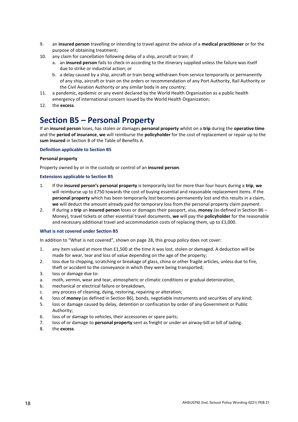- 9. an **insured person** travelling or intending to travel against the advice of a **medical practitioner** or for the purpose of obtaining treatment;
- 10. any claim for cancellation following delay of a ship, aircraft or train; if
	- a. an **insured person** fails to check-in according to the itinerary supplied unless the failure was itself due to strike or industrial action; or
	- b. a delay caused by a ship, aircraft or train being withdrawn from service temporarily or permanently of any ship, aircraft or train on the orders or recommendation of any Port Authority, Rail Authority or the Civil Aviation Authority or any similar body in any country;
- 11. a pandemic, epidemic or any event declared by the World Health Organization as a public health emergency of international concern issued by the World Health Organization;
- 12. the **excess**.

# <span id="page-20-0"></span>**Section B5 – Personal Property**

If an **insured person** loses, has stolen or damages **personal property** whilst on a **trip** during the **operative time** and the **period of insurance**, **we** will reimburse the **policyholder** for the cost of replacement or repair up to the **sum insured** in Section B of the Table of Benefits A.

# **Definition applicable to Section B5**

# **Personal property**

Property owned by or in the custody or control of an **insured person**.

# **Extensions applicable to Section B5**

- 1. If the **insured person's personal property** is temporarily lost for more than four hours during a **trip**, **we** will reimburse up to £750 towards the cost of buying essential and reasonable replacement items. If the **personal property** which has been temporarily lost becomes permanently lost and this results in a claim, **we** will deduct the amount already paid for temporary loss from the personal property claim payment.
- 2. If during a **trip** an **insured person** loses or damages their passport, visa, **money** *(*as defined in Section B6 Money), travel tickets or other essential travel documents, **we** will pay the **policyholder** for the reasonable and necessary additional travel and accommodation costs of replacing them, up to £1,000.

# **What is not covered under Section B5**

In addition to "What is not covered", shown on page 28, this group policy does not cover:

- 1. any item valued at more than £1,500 at the time it was lost, stolen or damaged. A deduction will be made for wear, tear and loss of value depending on the age of the property;
- 2. loss due to chipping, scratching or breakage of glass, china or other fragile articles, unless due to fire, theft or accident to the conveyance in which they were being transported;
- 3. loss or damage due to:
- a. moth, vermin, wear and tear, atmospheric or climatic conditions or gradual deterioration,
- b. mechanical or electrical failure or breakdown,
- c. any process of cleaning, dying, restoring, repairing or alteration;
- 4. loss of **money** (as defined in Section B6), bonds, negotiable instruments and securities of any kind;
- 5. loss or damage caused by delay, detention or confiscation by order of any Government or Public Authority;
- 6. loss of or damage to vehicles, their accessories or spare parts;
- 7. loss of or damage to **personal property** sent as freight or under an airway-bill or bill of lading.
- <span id="page-20-1"></span>8. the **excess**.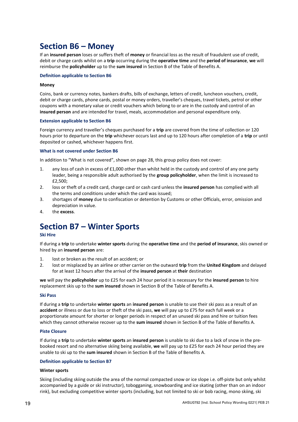# **Section B6 – Money**

If an **insured person** loses or suffers theft of **money** or financial loss as the result of fraudulent use of credit, debit or charge cards whilst on a **trip** occurring during the **operative time** and the **period of insurance**, **we** will reimburse the **policyholder** up to the **sum insured** in Section B of the Table of Benefits A.

# **Definition applicable to Section B6**

# **Money**

Coins, bank or currency notes, bankers drafts, bills of exchange, letters of credit, luncheon vouchers, credit, debit or charge cards, phone cards, postal or money orders, traveller's cheques, travel tickets, petrol or other coupons with a monetary value or credit vouchers which belong to or are in the custody and control of an **insured person** and are intended for travel, meals, accommodation and personal expenditure only.

# **Extension applicable to Section B6**

Foreign currency and traveller's cheques purchased for a **trip** are covered from the time of collection or 120 hours prior to departure on the **trip** whichever occurs last and up to 120 hours after completion of a **trip** or until deposited or cashed, whichever happens first.

# **What is not covered under Section B6**

In addition to "What is not covered", shown on page 28, this group policy does not cover:

- 1. any loss of cash in excess of £1,000 other than whilst held in the custody and control of any one party leader, being a responsible adult authorised by the **group policyholder**, when the limit is increased to £2,500;
- 2. loss or theft of a credit card, charge card or cash card unless the **insured person** has complied with all the terms and conditions under which the card was issued;
- 3. shortages of **money** due to confiscation or detention by Customs or other Officials, error, omission and depreciation in value.
- 4. the **excess**.

# <span id="page-21-0"></span>**Section B7 – Winter Sports**

# **Ski Hire**

If during a **trip** to undertake **winter sports** during the **operative time** and the **period of insurance**, skis owned or hired by an **insured person** are:

- 1. lost or broken as the result of an accident; or
- 2. lost or misplaced by an airline or other carrier on the outward **trip** from the **United Kingdom** and delayed for at least 12 hours after the arrival of the **insured person** at **their** destination

**we** will pay the **policyholder** up to £25 for each 24 hour period it is necessary for the **insured person** to hire replacement skis up to the **sum insured** shown in Section B of the Table of Benefits A.

#### **Ski Pass**

If during a **trip** to undertake **winter sports** an **insured person** is unable to use their ski pass as a result of an **accident** or illness or due to loss or theft of the ski pass, **we** will pay up to £75 for each full week or a proportionate amount for shorter or longer periods in respect of an unused ski pass and hire or tuition fees which they cannot otherwise recover up to the **sum insured** shown in Section B of the Table of Benefits A.

#### **Piste Closure**

If during a **trip** to undertake **winter sports** an **insured person** is unable to ski due to a lack of snow in the prebooked resort and no alternative skiing being available, **we** will pay up to £25 for each 24 hour period they are unable to ski up to the **sum insured** shown in Section B of the Table of Benefits A.

#### **Definition applicable to Section B7**

#### **Winter sports**

Skiing (including skiing outside the area of the normal compacted snow or ice slope i.e. off-piste but only whilst accompanied by a guide or ski instructor), tobogganing, snowboarding and ice skating (other than on an indoor rink), but excluding competitive winter sports (including, but not limited to ski or bob racing, mono skiing, ski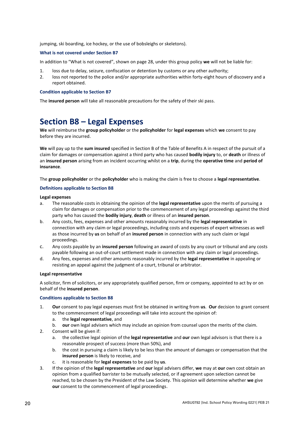jumping, ski boarding, ice hockey, or the use of bobsleighs or skeletons).

#### **What is not covered under Section B7**

In addition to "What is not covered", shown on page 28, under this group policy **we** will not be liable for:

- 1. loss due to delay, seizure, confiscation or detention by customs or any other authority;
- 2. loss not reported to the police and/or appropriate authorities within forty-eight hours of discovery and a report obtained.

# **Condition applicable to Section B7**

The **insured person** will take all reasonable precautions for the safety of their ski pass.

# <span id="page-22-0"></span>**Section B8 – Legal Expenses**

**We** will reimburse the **group policyholder** or the **policyholder** for **legal expenses** which **we** consent to pay before they are incurred.

**We** will pay up to the **sum insured** specified in Section B of the Table of Benefits A in respect of the pursuit of a claim for damages or compensation against a third party who has caused **bodily injury** to, or **death** or illness of an **insured person** arising from an incident occurring whilst on a **trip**, during the **operative time** and **period of insurance**.

The **group policyholder** or the **policyholder** who is making the claim is free to choose a **legal representative**.

# **Definitions applicable to Section B8**

# **Legal expenses**

- a. The reasonable costs in obtaining the opinion of the **legal representative** upon the merits of pursuing a claim for damages or compensation prior to the commencement of any legal proceedings against the third party who has caused the **bodily injury**, **death** or illness of an **insured person**.
- b. Any costs, fees, expenses and other amounts reasonably incurred by the **legal representative** in connection with any claim or legal proceedings, including costs and expenses of expert witnesses as well as those incurred by **us** on behalf of an **insured person** in connection with any such claim or legal proceedings.
- c. Any costs payable by an **insured person** following an award of costs by any court or tribunal and any costs payable following an out-of-court settlement made in connection with any claim or legal proceedings.
- d. Any fees, expenses and other amounts reasonably incurred by the **legal representative** in appealing or resisting an appeal against the judgment of a court, tribunal or arbitrator.

# **Legal representative**

A solicitor, firm of solicitors, or any appropriately qualified person, firm or company, appointed to act by or on behalf of the **insured person**.

# **Conditions applicable to Section B8**

- 1. **Our** consent to pay legal expenses must first be obtained in writing from **us**. **Our** decision to grant consent to the commencement of legal proceedings will take into account the opinion of:
	- a. the **legal representative**, and
	- b. **our** own legal advisers which may include an opinion from counsel upon the merits of the claim.
- 2. Consent will be given if:
	- a. the collective legal opinion of the **legal representative** and **our** own legal advisors is that there is a reasonable prospect of success (more than 50%), and
	- b. the cost in pursuing a claim is likely to be less than the amount of damages or compensation that the **insured person** is likely to receive, and
	- c. it is reasonable for **legal expenses** to be paid by **us**.
- 3. If the opinion of the **legal representative** and **our** legal advisers differ, **we** may at **our** own cost obtain an opinion from a qualified barrister to be mutually selected, or if agreement upon selection cannot be reached, to be chosen by the President of the Law Society. This opinion will determine whether **we** give **our** consent to the commencement of legal proceedings.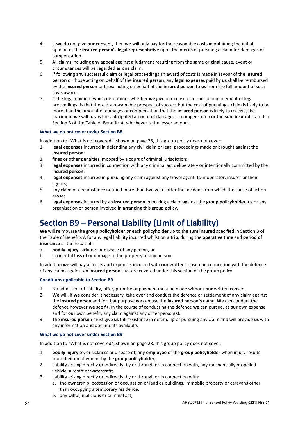- 4. If **we** do not give **our** consent, then **we** will only pay for the reasonable costs in obtaining the initial opinion of the **insured person's legal representative** upon the merits of pursuing a claim for damages or compensation.
- 5. All claims including any appeal against a judgment resulting from the same original cause, event or circumstances will be regarded as one claim.
- 6. If following any successful claim or legal proceedings an award of costs is made in favour of the **insured person** or those acting on behalf of the **insured person**, any **legal expenses** paid by **us** shall be reimbursed by the **insured person** or those acting on behalf of the **insured person** to **us** from the full amount of such costs award.
- 7. If the legal opinion (which determines whether **we** give our consent to the commencement of legal proceedings) is that there is a reasonable prospect of success but the cost of pursuing a claim is likely to be more than the amount of damages or compensation that the **insured person** is likely to receive, the maximum **we** will pay is the anticipated amount of damages or compensation or the **sum insured** stated in Section B of the Table of Benefits A, whichever is the lesser amount.

# **What we do not cover under Section B8**

In addition to "What is not covered", shown on page 28, this group policy does not cover:

- 1. **legal expenses** incurred in defending any civil claim or legal proceedings made or brought against the **insured person**;
- 2. fines or other penalties imposed by a court of criminal jurisdiction;
- 3. **legal expenses** incurred in connection with any criminal act deliberately or intentionally committed by the **insured person**;
- 4. **legal expenses** incurred in pursuing any claim against any travel agent, tour operator, insurer or their agents;
- 5. any claim or circumstance notified more than two years after the incident from which the cause of action arose;
- 6. **legal expenses** incurred by an **insured person** in making a claim against the **group policyholder**, **us** or any organisation or person involved in arranging this group policy.

# <span id="page-23-0"></span>**Section B9 – Personal Liability (Limit of Liability)**

**We** will reimburse the **group policyholder** or each **policyholder** up to the **sum insured** specified in Section B of the Table of Benefits A for any legal liability incurred whilst on a **trip**, during the **operative time** and **period of insurance** as the result of:

- a. **bodily injury**, sickness or disease of any person, or
- b. accidental loss of or damage to the property of any person.

In addition **we** will pay all costs and expenses incurred with **our** written consent in connection with the defence of any claims against an **insured person** that are covered under this section of the group policy.

# **Conditions applicable to Section B9**

- 1. No admission of liability, offer, promise or payment must be made without **our** written consent.
- 2. **We** will, if **we** consider it necessary, take over and conduct the defence or settlement of any claim against the **insured person** and for that purpose **we** can use the **insured person's** name. **We** can conduct the defence however **we** see fit. In the course of conducting the defence **we** can pursue, at **our** own expense and for **our** own benefit, any claim against any other person(s).
- 3. The **insured person** must give **us** full assistance in defending or pursuing any claim and will provide **us** with any information and documents available.

# **What we do not cover under Section B9**

In addition to "What is not covered", shown on page 28, this group policy does not cover:

- 1. **bodily injury** to, or sickness or disease of, any **employee** of the **group policyholder** when injury results from their employment by the **group policyholder**;
- 2. liability arising directly or indirectly, by or through or in connection with, any mechanically propelled vehicle, aircraft or watercraft;
- 3. liability arising directly or indirectly, by or through or in connection with:
	- a. the ownership, possession or occupation of land or buildings, immobile property or caravans other than occupying a temporary residence;
		- b. any wilful, malicious or criminal act;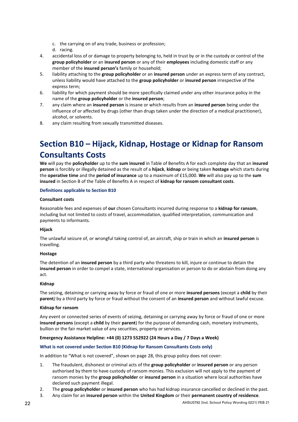- c. the carrying on of any trade, business or profession;
- d. racing.
- 4. accidental loss of or damage to property belonging to, held in trust by or in the custody or control of the **group policyholder** or an **insured person** or any of their **employees** including domestic staff or any member of the **insured person's** family or household;
- 5. liability attaching to the **group policyholder** or an **insured person** under an express term of any contract, unless liability would have attached to the **group policyholder** or **insured person** irrespective of the express term;
- 6. liability for which payment should be more specifically claimed under any other insurance policy in the name of the **group policyholder** or the **insured person**;
- 7. any claim where an **insured person** is insane or which results from an **insured person** being under the influence of or affected by drugs (other than drugs taken under the direction of a medical practitioner), alcohol, or solvents.
- 8. any claim resulting from sexually transmitted diseases.

# <span id="page-24-0"></span>**Section B10 – Hijack, Kidnap, Hostage or Kidnap for Ransom Consultants Costs**

**We** will pay the **policyholder** up to the **sum insured** in Table of Benefits A for each complete day that an **insured person** is forcibly or illegally detained as the result of a **hijack**, **kidnap** or being taken **hostage** which starts during the **operative time** and the **period of insurance** up to a maximum of £15,000. **We** will also pay up to the **sum insured** in Section B of the Table of Benefits A in respect of **kidnap for ransom consultant costs**.

# **Definitions applicable to Section B10**

# **Consultant costs**

Reasonable fees and expenses of **our** chosen Consultants incurred during response to a **kidnap for ransom**, including but not limited to costs of travel, accommodation, qualified interpretation, communication and payments to informants.

# **Hijack**

The unlawful seizure of, or wrongful taking control of, an aircraft, ship or train in which an **insured person** is travelling.

# **Hostage**

The detention of an **insured person** by a third party who threatens to kill, injure or continue to detain the **insured person** in order to compel a state, international organisation or person to do or abstain from doing any act.

# **Kidnap**

The seizing, detaining or carrying away by force or fraud of one or more **insured persons** (except a **child** by their **parent***)* by a third party by force or fraud without the consent of an **insured person** and without lawful excuse.

# **Kidnap for ransom**

Any event or connected series of events of seizing, detaining or carrying away by force or fraud of one or more **insured persons** (except a **child** by their **parent**) for the purpose of demanding cash, monetary instruments, bullion or the fair market value of any securities, property or services.

# **Emergency Assistance Helpline: +44 (0) 1273 552922 (24 Hours a Day / 7 Days a Week)**

# **What is not covered under Section B10 (Kidnap for Ransom Consultants Costs only)**

In addition to "What is not covered", shown on page 28, this group policy does not cover:

- 1. The fraudulent, dishonest or criminal acts of the **group policyholder** or **insured person** or any person authorised by them to have custody of ransom monies. This exclusion will not apply to the payment of ransom monies by the **group policyholder** or **insured person** in a situation where local authorities have declared such payment illegal.
- 2. The **group policyholder** or **insured person** who has had kidnap insurance cancelled or declined in the past.
- 3. Any claim for an **insured person** within the **United Kingdom** or their **permanent country of residence***.*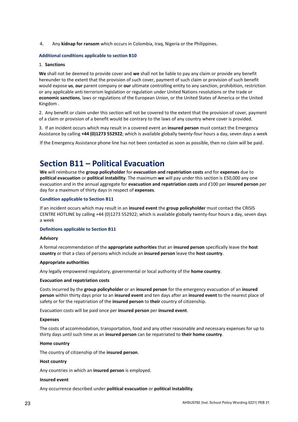4. Any **kidnap for ransom** which occurs in Colombia, Iraq, Nigeria or the Philippines.

# **Additional conditions applicable to section B10**

#### 1. **Sanctions**

**We** shall not be deemed to provide cover and **we** shall not be liable to pay any claim or provide any benefit hereunder to the extent that the provision of such cover, payment of such claim or provision of such benefit would expose **us**, **our** parent company or **our** ultimate controlling entity to any sanction, prohibition, restriction or any applicable anti-terrorism legislation or regulation under United Nations resolutions or the trade or **economic sanctions**, laws or regulations of the European Union, or the United States of America or the United Kingdom .

2. Any benefit or claim under this section will not be covered to the extent that the provision of cover, payment of a claim or provision of a benefit would be contrary to the laws of any country where cover is provided.

3. If an incident occurs which may result in a covered event an **insured person** must contact the Emergency Assistance by calling **+44 (0)1273 552922**; which is available globally twenty-four hours a day, seven days a week

If the Emergency Assistance phone line has not been contacted as soon as possible, then no claim will be paid.

# <span id="page-25-0"></span>**Section B11 – Political Evacuation**

**We** will reimburse the **group policyholder** for **evacuation and repatriation costs** and for **expenses** due to **political evacuation** or **political instability***.* The maximum **we** will pay under this section is £50,000 any one evacuation and in the annual aggregate for **evacuation and repatriation costs** and *£*100 per **insured person** per day for a maximum of thirty days in respect of **expenses**.

# **Condition applicable to Section B11**

If an incident occurs which may result in an **insured event** the **group policyholder** must contact the CRISIS CENTRE HOTLINE by calling +44 (0)1273 552922; which is available globally twenty-four hours a day, seven days a week

#### **Definitions applicable to Section B11**

#### **Advisory**

A formal recommendation of the **appropriate authorities** that an **insured person** specifically leave the **host country** or that a class of persons which include an **insured person** leave the **host country**.

#### **Appropriate authorities**

Any legally empowered regulatory, governmental or local authority of the **home country**.

#### **Evacuation and repatriation costs**

Costs incurred by the **group policyholder** or an **insured person** for the emergency evacuation of an **insured person** within thirty days prior to an **insured event** and ten days after an **insured event** to the nearest place of safety or for the repatriation of the **insured person** to **their** country of citizenship.

Evacuation costs will be paid once per **insured person** per **insured event**.

#### **Expenses**

The costs of accommodation, transportation, food and any other reasonable and necessary expenses for up to thirty days until such time as an **insured person** can be repatriated to **their home country**.

#### **Home country**

The country of citizenship of the **insured person**.

#### **Host country**

Any countries in which an **insured person** is employed.

#### **Insured event**

Any occurrence described under **political evacuation** or **political instability**.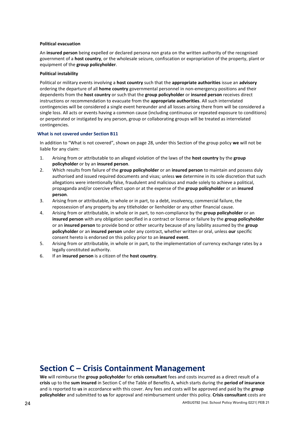## **Political evacuation**

An **insured person** being expelled or declared persona non grata on the written authority of the recognised government of a **host country**, or the wholesale seizure, confiscation or expropriation of the property, plant or equipment of the **group policyholder**.

# **Political instability**

Political or military events involving a **host country** such that the **appropriate authorities** issue an **advisory** ordering the departure of all **home country** governmental personnel in non-emergency positions and their dependents from the **host country** or such that the **group policyholder** or **insured person** receives direct instructions or recommendation to evacuate from the **appropriate authorities**. All such interrelated contingencies will be considered a single event hereunder and all losses arising there from will be considered a single loss. All acts or events having a common cause (including continuous or repeated exposure to conditions) or perpetrated or instigated by any person, group or collaborating groups will be treated as interrelated contingencies.

# **What is not covered under Section B11**

In addition to "What is not covered", shown on page 28, under this Section of the group policy **we** will not be liable for any claim:

- 1. Arising from or attributable to an alleged violation of the laws of the **host country** by the **group policyholder** or by an **insured person**.
- 2. Which results from failure of the **group policyholder** or an **insured person** to maintain and possess duly authorised and issued required documents and visas; unless **we** determine in its sole discretion that such allegations were intentionally false, fraudulent and malicious and made solely to achieve a political, propaganda and/or coercive effect upon or at the expense of the **group policyholder** or an **insured person**.
- 3. Arising from or attributable, in whole or in part, to a debt, insolvency, commercial failure, the repossession of any property by any titleholder or lienholder or any other financial cause.
- 4. Arising from or attributable, in whole or in part, to non-compliance by the **group policyholder** or an **insured person** with any obligation specified in a contract or license or failure by the **group policyholder** or an **insured person** to provide bond or other security because of any liability assumed by the **group policyholder** or an **insured person** under any contract, whether written or oral, unless **our** specific consent hereto is endorsed on this policy prior to an **insured event**.
- 5. Arising from or attributable, in whole or in part, to the implementation of currency exchange rates by a legally constituted authority.
- 6. If an **insured person** is a citizen of the **host country**.

# <span id="page-26-0"></span>**Section C – Crisis Containment Management**

**We** will reimburse the **group policyholder** for **crisis consultant** fees and costs incurred as a direct result of a **crisis** up to the **sum insured** in Section C of the Table of Benefits A, which starts during the **period of insurance** and is reported to **us** in accordance with this cover. Any fees and costs will be approved and paid by the **group policyholder** and submitted to **us** for approval and reimbursement under this policy. **Crisis consultant** costs are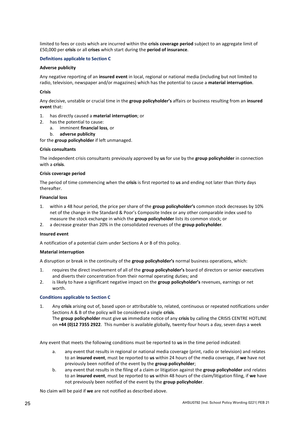limited to fees or costs which are incurred within the **crisis coverage period** subject to an aggregate limit of £50,000 per **crisis** or all **crises** which start during the **period of insurance**.

# **Definitions applicable to Section C**

# **Adverse publicity**

Any negative reporting of an **insured event** in local, regional or national media (including but not limited to radio, television, newspaper and/or magazines) which has the potential to cause a **material interruption**.

# **Crisis**

Any decisive, unstable or crucial time in the **group policyholder's** affairs or business resulting from an **insured event** that:

- 1. has directly caused a **material interruption**; or
- 2. has the potential to cause:
	- a. imminent **financial loss***,* or
	- b. **adverse publicity**

for the **group policyholder** if left unmanaged.

# **Crisis consultants**

The independent crisis consultants previously approved by **us** for use by the **group policyholder** in connection with a **crisis**.

# **Crisis coverage period**

The period of time commencing when the **crisis** is first reported to **us** and ending not later than thirty days thereafter.

# **Financial loss**

- 1. within a 48 hour period, the price per share of the **group policyholder's** common stock decreases by 10% net of the change in the Standard & Poor's Composite Index or any other comparable index used to measure the stock exchange in which the **group policyholder** lists its common stock; or
- 2. a decrease greater than 20% in the consolidated revenues of the **group policyholder***.*

# **Insured event**

A notification of a potential claim under Sections A or B of this policy.

# **Material interruption**

A disruption or break in the continuity of the **group policyholder's** normal business operations, which:

- 1. requires the direct involvement of all of the **group policyholder's** board of directors or senior executives and diverts their concentration from their normal operating duties; and
- 2. is likely to have a significant negative impact on the **group policyholder's** revenues, earnings or net worth.

# **Conditions applicable to Section C**

1. Any **crisis** arising out of, based upon or attributable to, related, continuous or repeated notifications under Sections A & B of the policy will be considered a single **crisis**. The **group policyholder** must give **us** immediate notice of any **crisis** by calling the CRISIS CENTRE HOTLINE on **+44 (0)12 7355 2922**. This number is available globally, twenty-four hours a day, seven days a week

Any event that meets the following conditions must be reported to **us** in the time period indicated:

- a. any event that results in regional or national media coverage (print, radio or television) and relates to an **insured event**, must be reported to **us** within 24 hours of the media coverage, if **we** have not previously been notified of the event by the **group policyholder**;
- b. any event that results in the filing of a claim or litigation against the **group policyholder** and relates to an **insured event**, must be reported to **us** within 48 hours of the claim/litigation filing, if **we** have not previously been notified of the event by the **group policyholder**.

No claim will be paid if **we** are not notified as described above.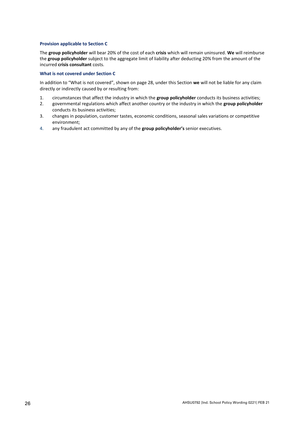# **Provision applicable to Section C**

The **group policyholder** will bear 20% of the cost of each **crisis** which will remain uninsured. **We** will reimburse the **group policyholder** subject to the aggregate limit of liability after deducting 20% from the amount of the incurred **crisis consultant** costs*.*

# **What is not covered under Section C**

In addition to "What is not covered", shown on page 28, under this Section **we** will not be liable for any claim directly or indirectly caused by or resulting from:

- 1. circumstances that affect the industry in which the **group policyholder** conducts its business activities;
- 2. governmental regulations which affect another country or the industry in which the **group policyholder** conducts its business activities;
- 3. changes in population, customer tastes, economic conditions, seasonal sales variations or competitive environment;
- 4. any fraudulent act committed by any of the **group policyholder's** senior executives.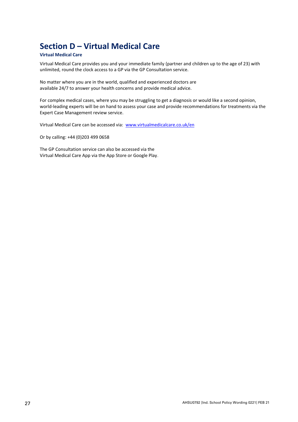# <span id="page-29-0"></span>**Section D – Virtual Medical Care**

# **Virtual Medical Care**

Virtual Medical Care provides you and your immediate family (partner and children up to the age of 23) with unlimited, round the clock access to a GP via the GP Consultation service.

No matter where you are in the world, qualified and experienced doctors are available 24/7 to answer your health concerns and provide medical advice.

For complex medical cases, where you may be struggling to get a diagnosis or would like a second opinion, world-leading experts will be on hand to assess your case and provide recommendations for treatments via the Expert Case Management review service.

Virtual Medical Care can be accessed via: [www.virtualmedicalcare.co.uk/en](http://www.virtualmedicalcare.co.uk/en)

Or by calling: +44 (0)203 499 0658

The GP Consultation service can also be accessed via the Virtual Medical Care App via the App Store or Google Play.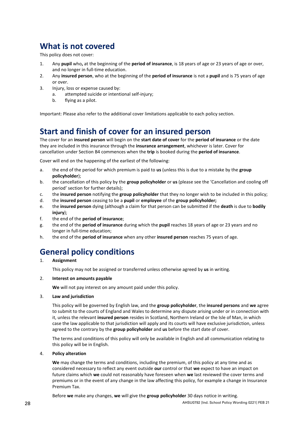# <span id="page-30-0"></span>**What is not covered**

This policy does not cover:

- 1. Any **pupil** who**,** at the beginning of the **period of insurance**, is 18 years of age or 23 years of age or over, and no longer in full-time education.
- 2. Any **insured person**, who at the beginning of the **period of insurance** is not a **pupil** and is 75 years of age or over.
- 3. Injury, loss or expense caused by:
	- a. attempted suicide or intentional self-injury;
	- b. flying as a pilot.

Important: Please also refer to the additional cover limitations applicable to each policy section.

# <span id="page-30-1"></span>**Start and finish of cover for an insured person**

The cover for an **insured person** will begin on the **start date of cover** for the **period of insurance** or the date they are included in this insurance through the **insurance arrangement**, whichever is later. Cover for cancellation under Section B4 commences when the **trip** is booked during the **period of insurance**.

Cover will end on the happening of the earliest of the following:

- a. the end of the period for which premium is paid to **us** (unless this is due to a mistake by the **group policyholder**);
- b. the cancellation of this policy by the **group policyholder** or **us** (please see the 'Cancellation and cooling off period' section for further details);
- c. the **insured person** notifying the **group policyholder** that they no longer wish to be included in this policy;
- d. the **insured person** ceasing to be a **pupil** or **employee** of the **group policyholder;**
- e. the **insured person** dying (although a claim for that person can be submitted if the **death** is due to **bodily injury**);
- f. the end of the **period of insurance**;
- g. the end of the **period of insurance** during which the **pupil** reaches 18 years of age or 23 years and no longer in full-time education;
- h. the end of the **period of insurance** when any other **insured person** reaches 75 years of age.

# <span id="page-30-2"></span>**General policy conditions**

1. **Assignment**

This policy may not be assigned or transferred unless otherwise agreed by **us** in writing.

# 2. **Interest on amounts payable**

**We** will not pay interest on any amount paid under this policy.

# 3. **Law and jurisdiction**

This policy will be governed by English law, and the **group policyholder**, the **insured persons** and **we** agree to submit to the courts of England and Wales to determine any dispute arising under or in connection with it, unless the relevant **insured person** resides in Scotland, Northern Ireland or the Isle of Man, in which case the law applicable to that jurisdiction will apply and its courts will have exclusive jurisdiction, unless agreed to the contrary by the **group policyholder** and **us** before the start date of cover.

The terms and conditions of this policy will only be available in English and all communication relating to this policy will be in English.

# 4. **Policy alteration**

**We** may change the terms and conditions, including the premium, of this policy at any time and as considered necessary to reflect any event outside **our** control or that **we** expect to have an impact on future claims which **we** could not reasonably have foreseen when **we** last reviewed the cover terms and premiums or in the event of any change in the law affecting this policy, for example a change in Insurance Premium Tax.

Before **we** make any changes, **we** will give the **group policyholder** 30 days notice in writing.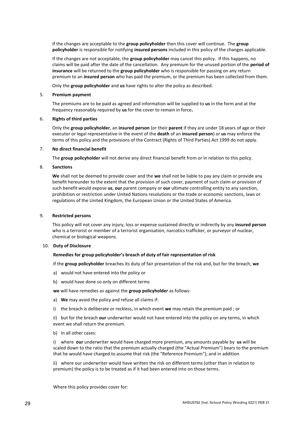If the changes are acceptable to the **group policyholder** then this cover will continue. The **group policyholder** is responsible for notifying **insured persons** included in this policy of the changes applicable.

If the changes are not acceptable, the **group policyholder** may cancel this policy. If this happens, no claims will be paid after the date of the cancellation. Any premium for the unused portion of the **period of insurance** will be returned to the **group policyholder** who is responsible for passing on any return premium to an **insured person** who has paid the premium, or the premium has been collected from them.

Only the **group policyholder** and **us** have rights to alter the policy as described.

#### 5. **Premium payment**

The premiums are to be paid as agreed and information will be supplied to **us** in the form and at the frequency reasonably required by **us** for the cover to remain in force**.**

#### 6. **Rights of third parties**

Only the **group policyholder**, an **insured person** (or their **parent** if they are under 18 years of age or their executor or legal representative in the event of the **death** of an **insured person**) or **us** may enforce the terms of this policy and the provisions of the Contract (Rights of Third Parties) Act 1999 do not apply.

#### 7. **No direct financial benefit**

The **group policyholder** will not derive any direct financial benefit from or in relation to this policy.

#### 8. **Sanctions**

**We** shall not be deemed to provide cover and the **we** shall not be liable to pay any claim or provide any benefit hereunder to the extent that the provision of such cover, payment of such claim or provision of such benefit would expose **us**, **our** parent company or **our** ultimate controlling entity to any sanction, prohibition or restriction under United Nations resolutions or the trade or economic sanctions, laws or regulations of the United Kingdom, the European Union or the United States of America.

#### 9. **Restricted persons**

This policy will not cover any injury, loss or expense sustained directly or indirectly by any **insured person** who is a terrorist or member of a terrorist organisation, narcotics trafficker, or purveyor of nuclear, chemical or biological weapons.

#### 10. **Duty of Disclosure**

# **Remedies for group policyholder's breach of duty of fair representation of risk**

If the **group policyholder** breaches its duty of fair presentation of the risk and, but for the breach, **we**

- a) would not have entered into the policy or
- b) would have done so only on different terms

**we** will have remedies as against the **group policyholder** as follows:

- a) **We** may avoid the policy and refuse all claims if:
- i) the breach is deliberate or reckless, in which event **we** may retain the premium paid ; or

ii) but for the breach **our** underwriter would not have entered into the policy on any terms, in which event we shall return the premium.

b) In all other cases:

i) where **our** underwriter would have charged more premium, any amounts payable by **us** will be scaled down to the ratio that the premium actually charged (the "Actual Premium") bears to the premium that he would have charged to assume that risk (the "Reference Premium"); and in addition

ii) where our underwriter would have written the risk on different terms (other than in relation to premium) the policy is to be treated as if it had been entered into on those terms.

Where this policy provides cover for: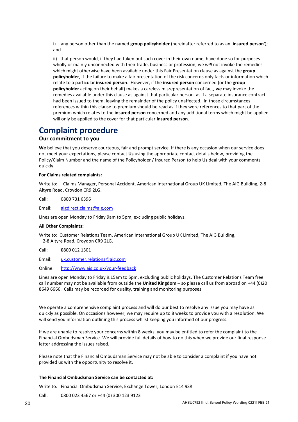i) any person other than the named **group policyholder** (hereinafter referred to as an '**insured person'**); and

ii) that person would, if they had taken out such cover in their own name, have done so for purposes wholly or mainly unconnected with their trade, business or profession, we *will* not invoke the remedies which might otherwise have been available under this Fair Presentation clause as against the **group policyholder**, if the failure to make a fair presentation of the risk concerns only facts or information which relate to a particular **insured person**. However, if the **insured person** concerned (or the **group policyholder** acting on their behalf) makes a careless misrepresentation of fact, **we** may invoke the remedies available under this clause as against that particular person, as if a separate insurance contract had been issued to them, leaving the remainder of the policy unaffected. In those circumstances references within this clause to premium should be read as if they were references to that part of the premium which relates to the **insured person** concerned and any additional terms which might be applied will only be applied to the cover for that particular **insured person**.

# <span id="page-32-0"></span>**Complaint procedure**

# **Our commitment to you**

**We** believe that you deserve courteous, fair and prompt service. If there is any occasion when our service does not meet your expectations, please contact **Us** using the appropriate contact details below, providing the Policy/Claim Number and the name of the Policyholder / Insured Person to help **Us** deal with your comments quickly.

#### **For Claims related complaints:**

Write to: Claims Manager, Personal Accident, American International Group UK Limited, The AIG Building, 2-8 Altyre Road, Croydon CR9 2LG.

Call: 0800 731 6396

Email: aigdirect.claims@aig.com

Lines are open Monday to Friday 9am to 5pm, excluding public holidays.

#### **All Other Complaints:**

Write to: Customer Relations Team, American International Group UK Limited, The AIG Building, 2-8 Altyre Road, Croydon CR9 2LG.

Call: **0**800 012 1301

Email: uk.customer.relations@aig.com

Online: <http://www.aig.co.uk/your-feedback>

Lines are open Monday to Friday 9.15am to 5pm, excluding public holidays. The Customer Relations Team free call number may not be available from outside the **United Kingdom** – so please call us from abroad on +44 (0)20 8649 6666. Calls may be recorded for quality, training and monitoring purposes.

We operate a comprehensive complaint process and will do our best to resolve any issue you may have as quickly as possible. On occasions however, we may require up to 8 weeks to provide you with a resolution. We will send you information outlining this process whilst keeping you informed of our progress.

If we are unable to resolve your concerns within 8 weeks, you may be entitled to refer the complaint to the Financial Ombudsman Service. We will provide full details of how to do this when we provide our final response letter addressing the issues raised.

Please note that the Financial Ombudsman Service may not be able to consider a complaint if you have not provided us with the opportunity to resolve it.

# **The Financial Ombudsman Service can be contacted at:**

Write to: Financial Ombudsman Service, Exchange Tower, London E14 9SR.

Call: 0800 023 4567 or +44 (0) 300 123 9123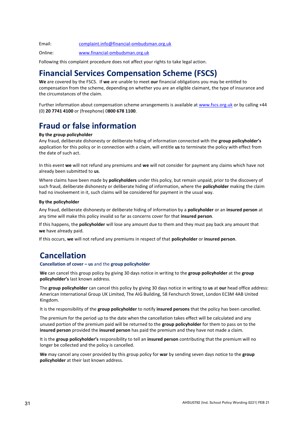Email: [complaint.info@financial-ombudsman.org.uk](mailto:complaint.info@financial-ombudsman.org.uk)

Online: [www.financial-ombudsman.org.uk](http://www.financial-ombudsman.org.uk/)

Following this complaint procedure does not affect your rights to take legal action.

# <span id="page-33-0"></span>**Financial Services Compensation Scheme (FSCS)**

**We** are covered by the FSCS. If **we** are unable to meet **our** financial obligations you may be entitled to compensation from the scheme, depending on whether you are an eligible claimant, the type of insurance and the circumstances of the claim.

Further information about compensation scheme arrangements is available at www.fscs.org.uk or by calling +44 (0) **20 7741 4100** or (freephone) 0**800 678 1100**.

# <span id="page-33-1"></span>**Fraud or false information**

# **By the group policyholder**

Any fraud, deliberate dishonesty or deliberate hiding of information connected with the **group policyholder's** application for this policy or in connection with a claim, will entitle **us** to terminate the policy with effect from the date of such act.

In this event **we** will not refund any premiums and **we** will not consider for payment any claims which have not already been submitted to **us**.

Where claims have been made by **policyholders** under this policy, but remain unpaid, prior to the discovery of such fraud, deliberate dishonesty or deliberate hiding of information, where the **policyholder** making the claim had no involvement in it, such claims will be considered for payment in the usual way.

# **By the policyholder**

Any fraud, deliberate dishonesty or deliberate hiding of information by a **policyholder** or an **insured person** at any time will make this policy invalid so far as concerns cover for that **insured person**.

If this happens, the **policyholder** will lose any amount due to them and they must pay back any amount that **we** have already paid.

If this occurs, **we** will not refund any premiums in respect of that **policyholder** or **insured person**.

# <span id="page-33-2"></span>**Cancellation**

**Cancellation of cover** *–* **us** and the **group policyholder**

**We** can cancel this group policy by giving 30 days notice in writing to the **group policyholder** at the **group policyholder's** last known address.

The **group policyholder** can cancel this policy by giving 30 days notice in writing to **us** at **our** head office address: American International Group UK Limited, The AIG Building, 58 Fenchurch Street, London EC3M 4AB United Kingdom.

It is the responsibility of the **group policyholder** to notify **insured persons** that the policy has been cancelled.

The premium for the period up to the date when the cancellation takes effect will be calculated and any unused portion of the premium paid will be returned to the **group policyholder** for them to pass on to the **insured person** provided the **insured person** has paid the premium and they have not made a claim.

It is the **group policyholder's** responsibility to tell an **insured person** contributing that the premium will no longer be collected and the policy is cancelled.

**We** may cancel any cover provided by this group policy for **war** by sending seven days notice to the **group policyholder** at their last known address.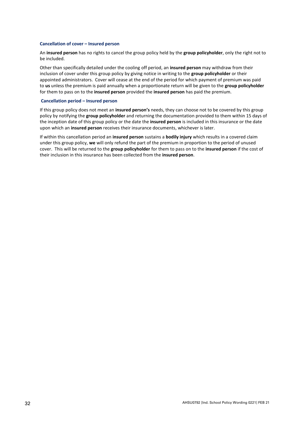#### **Cancellation of cover – Insured person**

An **insured person** has no rights to cancel the group policy held by the **group policyholder**, only the right not to be included.

Other than specifically detailed under the cooling off period, an **insured person** may withdraw from their inclusion of cover under this group policy by giving notice in writing to the **group policyholder** or their appointed administrators. Cover will cease at the end of the period for which payment of premium was paid to **us** unless the premium is paid annually when a proportionate return will be given to the **group policyholder** for them to pass on to the **insured person** provided the **insured person** has paid the premium.

#### **Cancellation period – Insured person**

If this group policy does not meet an **insured person's** needs, they can choose not to be covered by this group policy by notifying the **group policyholder** and returning the documentation provided to them within 15 days of the inception date of this group policy or the date the **insured person** is included in this insurance or the date upon which an **insured person** receives their insurance documents, whichever is later.

If within this cancellation period an **insured person** sustains a **bodily injury** which results in a covered claim under this group policy, **we** will only refund the part of the premium in proportion to the period of unused cover. This will be returned to the **group policyholder** for them to pass on to the **insured person** if the cost of their inclusion in this insurance has been collected from the **insured person**.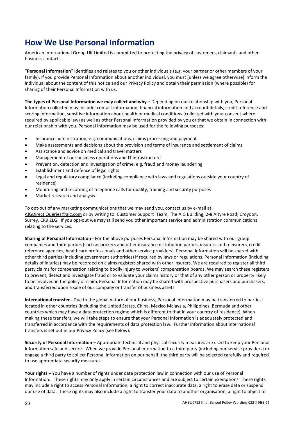# **How We Use Personal Information**

American International Group UK Limited is committed to protecting the privacy of customers, claimants and other business contacts.

"**Personal Information**" identifies and relates to you or other individuals (e.g. your partner or other members of your family). If you provide Personal Information about another individual, you must (unless we agree otherwise) inform the individual about the content of this notice and our Privacy Policy and obtain their permission (where possible) for sharing of their Personal Information with us.

The types of Personal Information we may collect and why – Depending on our relationship with you, Personal Information collected may include: contact information, financial information and account details, credit reference and scoring information, sensitive information about health or medical conditions (collected with your consent where required by applicable law) as well as other Personal Information provided by you or that we obtain in connection with our relationship with you. Personal Information may be used for the following purposes:

- Insurance administration, e.g. communications, claims processing and payment
- Make assessments and decisions about the provision and terms of insurance and settlement of claims
- Assistance and advice on medical and travel matters
- Management of our business operations and IT infrastructure
- Prevention, detection and investigation of crime, e.g. fraud and money laundering
- Establishment and defence of legal rights
- Legal and regulatory compliance (including compliance with laws and regulations outside your country of residence)
- Monitoring and recording of telephone calls for quality, training and security purposes
- Market research and analysis

To opt-out of any marketing communications that we may send you, contact us by e-mail at: [AIGDirect.Queries@aig.com](mailto:AIGDirect.Queries@aig.com) or by writing to: Customer Support Team, The AIG Building, 2-8 Altyre Road, Croydon, Surrey, CR9 2LG. If you opt-out we may still send you other important service and administration communications relating to the services.

**Sharing of Personal Information -** For the above purposes Personal Information may be shared with our group companies and third parties (such as brokers and other insurance distribution parties, insurers and reinsurers, credit reference agencies, healthcare professionals and other service providers). Personal Information will be shared with other third parties (including government authorities) if required by laws or regulations. Personal Information (including details of injuries) may be recorded on claims registers shared with other insurers. We are required to register all third party claims for compensation relating to bodily injury to workers' compensation boards. We may search these registers to prevent, detect and investigate fraud or to validate your claims history or that of any other person or property likely to be involved in the policy or claim. Personal Information may be shared with prospective purchasers and purchasers, and transferred upon a sale of our company or transfer of business assets.

**International transfer -** Due to the global nature of our business, Personal Information may be transferred to parties located in other countries (including the United States, China, Mexico Malaysia, Philippines, Bermuda and other countries which may have a data protection regime which is different to that in your country of residence). When making these transfers, we will take steps to ensure that your Personal Information is adequately protected and transferred in accordance with the requirements of data protection law. Further information about international transfers is set out in our Privacy Policy (see below).

**Security of Personal Information** – Appropriate technical and physical security measures are used to keep your Personal Information safe and secure. When we provide Personal Information to a third party (including our service providers) or engage a third party to collect Personal Information on our behalf, the third party will be selected carefully and required to use appropriate security measures.

**Your rights –** You have a number of rights under data protection law in connection with our use of Personal Information. These rights may only apply in certain circumstances and are subject to certain exemptions. These rights may include a right to access Personal Information, a right to correct inaccurate data, a right to erase data or suspend our use of data. These rights may also include a right to transfer your data to another organisation, a right to object to